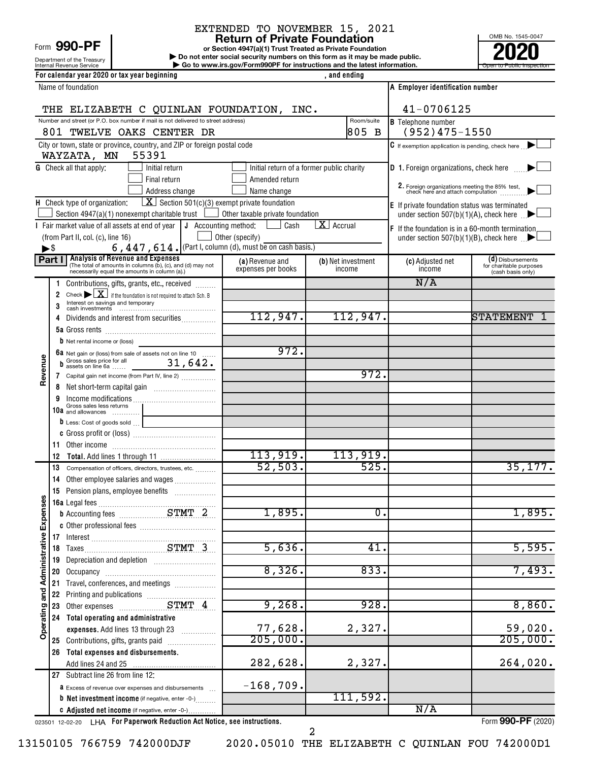1,895.

5,595.

8,860.

59,020.  $205,000.$ 

|                                     |    |                                      |                                                                                                                   | EXTENDED TO NOVEMBER 15, 2021                                                                    |                                 |                                                                                                |                                              |
|-------------------------------------|----|--------------------------------------|-------------------------------------------------------------------------------------------------------------------|--------------------------------------------------------------------------------------------------|---------------------------------|------------------------------------------------------------------------------------------------|----------------------------------------------|
|                                     |    | Form $990$ -PF                       |                                                                                                                   | <b>Return of Private Foundation</b><br>or Section 4947(a)(1) Trust Treated as Private Foundation |                                 | OMB No. 1545-0047                                                                              |                                              |
|                                     |    | Department of the Treasury           |                                                                                                                   | Do not enter social security numbers on this form as it may be made public.                      |                                 |                                                                                                |                                              |
|                                     |    | Internal Revenue Service             |                                                                                                                   | Go to www.irs.gov/Form990PF for instructions and the latest information.                         |                                 |                                                                                                | Open to Public In:                           |
|                                     |    |                                      | For calendar year 2020 or tax year beginning                                                                      |                                                                                                  | , and ending                    |                                                                                                |                                              |
|                                     |    | Name of foundation                   |                                                                                                                   |                                                                                                  |                                 | A Employer identification number                                                               |                                              |
|                                     |    |                                      | THE ELIZABETH C QUINLAN FOUNDATION, INC.                                                                          |                                                                                                  |                                 | 41-0706125                                                                                     |                                              |
|                                     |    |                                      | Number and street (or P.O. box number if mail is not delivered to street address)                                 |                                                                                                  | Room/suite                      | <b>B</b> Telephone number                                                                      |                                              |
|                                     |    |                                      | 801 TWELVE OAKS CENTER DR                                                                                         |                                                                                                  | 1805 B                          | $(952)475 - 1550$                                                                              |                                              |
|                                     |    |                                      | City or town, state or province, country, and ZIP or foreign postal code                                          |                                                                                                  |                                 | C If exemption application is pending, check here                                              |                                              |
|                                     |    | WAYZATA, MN                          | 55391                                                                                                             |                                                                                                  |                                 |                                                                                                |                                              |
|                                     |    | <b>G</b> Check all that apply:       | Initial return                                                                                                    | Initial return of a former public charity                                                        |                                 | <b>D</b> 1. Foreign organizations, check here                                                  |                                              |
|                                     |    |                                      | Final return                                                                                                      | Amended return                                                                                   |                                 | 2. Foreign organizations meeting the 85% test, check here and attach computation               |                                              |
|                                     |    |                                      | Address change<br>$\boxed{\mathbf{X}}$ Section 501(c)(3) exempt private foundation                                | Name change                                                                                      |                                 |                                                                                                |                                              |
|                                     |    | H Check type of organization:        | Section 4947(a)(1) nonexempt charitable trust                                                                     | $\Box$ Other taxable private foundation                                                          |                                 | E If private foundation status was terminated<br>under section 507(b)(1)(A), check here $\Box$ |                                              |
|                                     |    |                                      | Fair market value of all assets at end of year $\vert \mathbf{J} \vert$ Accounting method:                        | Cash                                                                                             | $\overline{\mathbf{X}}$ Accrual | <b>F</b> If the foundation is in a 60-month termination                                        |                                              |
|                                     |    | (from Part II, col. (c), line 16)    |                                                                                                                   | Other (specify)                                                                                  |                                 | under section 507(b)(1)(B), check here $\Box$                                                  |                                              |
| $\blacktriangleright$ \$            |    |                                      | 6, 447, 614. (Part I, column (d), must be on cash basis.)                                                         |                                                                                                  |                                 |                                                                                                |                                              |
|                                     |    |                                      | <b>Part I</b> Analysis of Revenue and Expenses<br>(The total of amounts in columns (b), (c), and (d) may not      | (a) Revenue and                                                                                  | (b) Net investment              | (c) Adjusted net                                                                               | (d) Disbursements<br>for charitable purposes |
|                                     |    |                                      | necessarily equal the amounts in column (a).)                                                                     | expenses per books                                                                               | income                          | income                                                                                         | (cash basis only)                            |
|                                     |    |                                      | Contributions, gifts, grants, etc., received                                                                      |                                                                                                  |                                 | N/A                                                                                            |                                              |
|                                     | 2  | Interest on savings and temporary    | Check $\triangleright$ $\boxed{\mathbf{X}}$ if the foundation is not required to attach Sch. B                    |                                                                                                  |                                 |                                                                                                |                                              |
|                                     |    |                                      |                                                                                                                   | 112,947.                                                                                         | 112,947.                        |                                                                                                | STATEMENT                                    |
|                                     |    |                                      | Dividends and interest from securities                                                                            |                                                                                                  |                                 |                                                                                                |                                              |
|                                     |    | <b>b</b> Net rental income or (loss) |                                                                                                                   |                                                                                                  |                                 |                                                                                                |                                              |
|                                     |    |                                      |                                                                                                                   | 972.                                                                                             |                                 |                                                                                                |                                              |
| Revenue                             |    |                                      | <b>6a</b> Net gain or (loss) from sale of assets not on line 10<br><b>b</b> Gross sales price for all $31, 642$ . |                                                                                                  |                                 |                                                                                                |                                              |
|                                     |    |                                      | 7 Capital gain net income (from Part IV, line 2)                                                                  |                                                                                                  | 972.                            |                                                                                                |                                              |
|                                     |    |                                      |                                                                                                                   |                                                                                                  |                                 |                                                                                                |                                              |
|                                     |    | Gross sales less returns             |                                                                                                                   |                                                                                                  |                                 |                                                                                                |                                              |
|                                     |    | 10a and allowances                   |                                                                                                                   |                                                                                                  |                                 |                                                                                                |                                              |
|                                     |    |                                      | $\boxed{\phantom{a}b\,}$ Less: Cost of goods sold $\begin{array}{ c c c }\hline \ \ \end{array}$                  |                                                                                                  |                                 |                                                                                                |                                              |
|                                     |    |                                      |                                                                                                                   |                                                                                                  |                                 |                                                                                                |                                              |
|                                     | 12 |                                      |                                                                                                                   | 113,919.                                                                                         | 113,919.                        |                                                                                                |                                              |
|                                     | 13 |                                      | Compensation of officers, directors, trustees, etc.                                                               | 52,503.                                                                                          | 525.                            |                                                                                                | 35, 177.                                     |
|                                     | 14 |                                      | Other employee salaries and wages                                                                                 |                                                                                                  |                                 |                                                                                                |                                              |
|                                     |    |                                      | 15 Pension plans, employee benefits                                                                               |                                                                                                  |                                 |                                                                                                |                                              |
| Expenses                            |    | 16a Legal fees                       |                                                                                                                   |                                                                                                  |                                 |                                                                                                |                                              |
|                                     |    |                                      |                                                                                                                   | 1,895.                                                                                           | $\overline{0}$ .                |                                                                                                | 1,895                                        |
|                                     |    |                                      |                                                                                                                   |                                                                                                  |                                 |                                                                                                |                                              |
|                                     |    |                                      |                                                                                                                   | 5,636.                                                                                           | 41.                             |                                                                                                | 5,595.                                       |
|                                     | 18 |                                      | Depreciation and depletion [11] [11] Depreciation and depletion                                                   |                                                                                                  |                                 |                                                                                                |                                              |
|                                     | 20 |                                      |                                                                                                                   | 8,326.                                                                                           | 833.                            |                                                                                                | 7,493.                                       |
|                                     |    |                                      | Travel, conferences, and meetings                                                                                 |                                                                                                  |                                 |                                                                                                |                                              |
|                                     |    |                                      |                                                                                                                   |                                                                                                  |                                 |                                                                                                |                                              |
|                                     | 23 |                                      |                                                                                                                   | 9,268.                                                                                           | 928.                            |                                                                                                | 8,860.                                       |
|                                     |    |                                      | Total operating and administrative                                                                                |                                                                                                  |                                 |                                                                                                |                                              |
| <b>Operating and Administrative</b> |    |                                      | expenses. Add lines 13 through 23                                                                                 | 77,628.                                                                                          | 2,327.                          |                                                                                                | 59,020                                       |
|                                     |    |                                      | 25 Contributions, gifts, grants paid                                                                              | 205,000.                                                                                         |                                 |                                                                                                | 205,000.                                     |
|                                     |    |                                      | 26 Total expenses and disbursements.                                                                              |                                                                                                  |                                 |                                                                                                |                                              |
|                                     |    |                                      |                                                                                                                   | 282,628.                                                                                         | 2,327.                          |                                                                                                | 264,020                                      |

Excess of revenue over expenses and disbursements **a b** Net investment income (if negative, enter -0-) G Adjusted net income (if negative, enter -0-) ~ . . . . . . . . . . . . .

023501 12-02-20 **For Paperwork Reduction Act Notice, see instructions.** LHA Form (2020)

Form **990-PF** (2020)

13150105 766759 742000DJF 2020.05010 THE ELIZABETH C QUINLAN FOU 742000D1

**27** Subtract line 26 from line 12:

2

111,592.

N/A

 $-168,709.$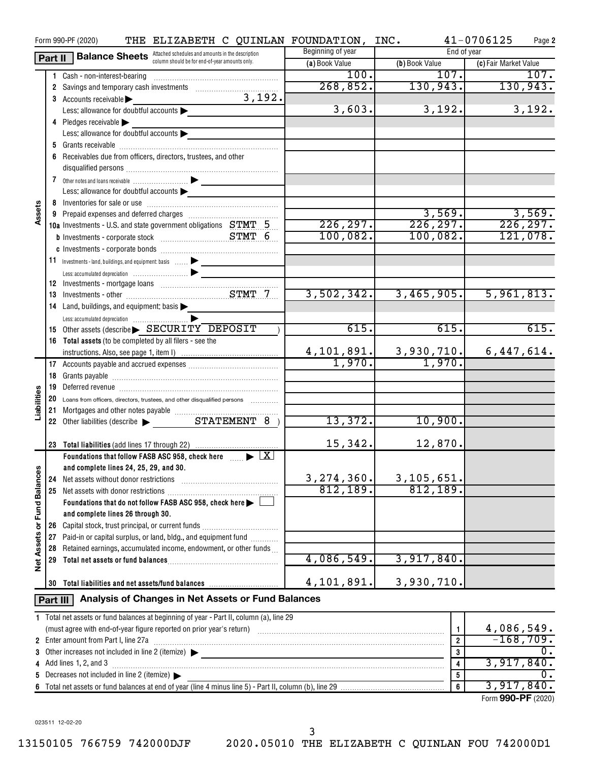|                      |                                                                                    | THE ELIZABETH C QUINLAN FOUNDATION, INC.<br>Form 990-PF (2020)                                                 |                   |                                                                                                     | 41-0706125<br>Page 2  |
|----------------------|------------------------------------------------------------------------------------|----------------------------------------------------------------------------------------------------------------|-------------------|-----------------------------------------------------------------------------------------------------|-----------------------|
|                      | <b>Balance Sheets</b> Attached schedules and amounts in the description<br>Part II |                                                                                                                | Beginning of year | End of year                                                                                         |                       |
|                      |                                                                                    | column should be for end-of-year amounts only.                                                                 | (a) Book Value    | (b) Book Value                                                                                      | (c) Fair Market Value |
|                      |                                                                                    | 1 Cash - non-interest-bearing                                                                                  | 100.              | 107.                                                                                                | 107.                  |
|                      |                                                                                    | 2 Savings and temporary cash investments                                                                       | 268, 852.         | 130,943.                                                                                            | 130,943.              |
|                      |                                                                                    | 3,192.<br>3 Accounts receivable                                                                                |                   |                                                                                                     |                       |
|                      |                                                                                    | Less: allowance for doubtful accounts                                                                          | 3,603.            | 3,192.                                                                                              | 3,192.                |
|                      |                                                                                    | 4 Pledges receivable                                                                                           |                   |                                                                                                     |                       |
|                      |                                                                                    | Less: allowance for doubtful accounts                                                                          |                   |                                                                                                     |                       |
|                      |                                                                                    |                                                                                                                |                   |                                                                                                     |                       |
|                      |                                                                                    |                                                                                                                |                   |                                                                                                     |                       |
|                      |                                                                                    | 6 Receivables due from officers, directors, trustees, and other                                                |                   |                                                                                                     |                       |
|                      |                                                                                    |                                                                                                                |                   |                                                                                                     |                       |
|                      |                                                                                    |                                                                                                                |                   |                                                                                                     |                       |
|                      |                                                                                    | Less: allowance for doubtful accounts                                                                          |                   |                                                                                                     |                       |
| Assets               |                                                                                    |                                                                                                                |                   |                                                                                                     |                       |
|                      |                                                                                    |                                                                                                                |                   | 3,569.                                                                                              | 3,569.                |
|                      |                                                                                    | 10a Investments - U.S. and state government obligations STMT 5                                                 | 226, 297.         | 226, 297.                                                                                           | 226, 297.             |
|                      |                                                                                    |                                                                                                                | 100,082.          | 100,082.                                                                                            | 121,078.              |
|                      |                                                                                    |                                                                                                                |                   |                                                                                                     |                       |
|                      |                                                                                    | 11 Investments - land, buildings, and equipment: basis  > _______________                                      |                   |                                                                                                     |                       |
|                      |                                                                                    |                                                                                                                |                   |                                                                                                     |                       |
|                      |                                                                                    |                                                                                                                |                   |                                                                                                     |                       |
|                      |                                                                                    |                                                                                                                | 3,502,342.        | 3,465,905.                                                                                          | 5,961,813.            |
|                      |                                                                                    | 14 Land, buildings, and equipment: basis                                                                       |                   |                                                                                                     |                       |
|                      |                                                                                    |                                                                                                                |                   |                                                                                                     |                       |
|                      |                                                                                    | 15 Other assets (describe SECURITY DEPOSIT                                                                     | 615.              | 615.                                                                                                | 615.                  |
|                      |                                                                                    | 16 Total assets (to be completed by all filers - see the                                                       |                   |                                                                                                     |                       |
|                      |                                                                                    |                                                                                                                |                   |                                                                                                     | 6,447,614.            |
|                      |                                                                                    |                                                                                                                |                   | $\begin{array}{ c c c c c }\n 4,101,891. & 3,930,710. & \ \hline\n 1,970. & 1,970. & \ \end{array}$ |                       |
|                      |                                                                                    |                                                                                                                |                   |                                                                                                     |                       |
|                      | 18                                                                                 |                                                                                                                |                   |                                                                                                     |                       |
|                      | 19                                                                                 | Deferred revenue informational contracts and a contract of the contract of the contract of the contract of the |                   |                                                                                                     |                       |
|                      | 20                                                                                 | Loans from officers, directors, trustees, and other disqualified persons                                       |                   |                                                                                                     |                       |
| Liabilities          |                                                                                    |                                                                                                                |                   |                                                                                                     |                       |
|                      |                                                                                    | 22 Other liabilities (describe > STATEMENT 8 )                                                                 | 13,372.           | 10,900.                                                                                             |                       |
|                      |                                                                                    |                                                                                                                |                   |                                                                                                     |                       |
|                      | 23                                                                                 |                                                                                                                | 15,342.           | 12,870.                                                                                             |                       |
|                      |                                                                                    | Foundations that follow FASB ASC 958, check here $\ldots$ $\blacktriangleright$ $\boxed{X}$                    |                   |                                                                                                     |                       |
|                      |                                                                                    | and complete lines 24, 25, 29, and 30.                                                                         |                   |                                                                                                     |                       |
|                      | 24                                                                                 | Net assets without donor restrictions                                                                          | 3, 274, 360.      | 3, 105, 651.                                                                                        |                       |
| <b>Fund Balances</b> |                                                                                    | 25 Net assets with donor restrictions                                                                          | 812,189.          | 812, 189.                                                                                           |                       |
|                      |                                                                                    | Foundations that do not follow FASB ASC 958, check here >                                                      |                   |                                                                                                     |                       |
|                      |                                                                                    | and complete lines 26 through 30.                                                                              |                   |                                                                                                     |                       |
| ৯                    |                                                                                    | 26 Capital stock, trust principal, or current funds                                                            |                   |                                                                                                     |                       |
|                      | 27                                                                                 | Paid-in or capital surplus, or land, bldg., and equipment fund                                                 |                   |                                                                                                     |                       |
|                      | 28                                                                                 | Retained earnings, accumulated income, endowment, or other funds                                               |                   |                                                                                                     |                       |
| <b>Net Assets</b>    | 29                                                                                 | Total net assets or fund balances                                                                              | 4,086,549.        | 3,917,840.                                                                                          |                       |
|                      |                                                                                    |                                                                                                                | 4,101,891.        |                                                                                                     |                       |
|                      | 30                                                                                 | Total liabilities and net assets/fund balances                                                                 |                   | 3,930,710.                                                                                          |                       |
|                      | Part III                                                                           | Analysis of Changes in Net Assets or Fund Balances                                                             |                   |                                                                                                     |                       |
|                      |                                                                                    | 1 Total net assets or fund balances at beginning of year - Part II, column (a), line 29                        |                   |                                                                                                     |                       |
|                      |                                                                                    |                                                                                                                |                   | $\mathbf{1}$                                                                                        | 4,086,549.            |
|                      |                                                                                    | 2 Enter amount from Part I, line 27a                                                                           |                   | $\overline{2}$                                                                                      | $-168,709.$           |
| 3                    |                                                                                    | Other increases not included in line 2 (itemize) $\blacktriangleright$                                         |                   | 3                                                                                                   | 0.                    |
| 4                    |                                                                                    | Add lines 1, 2, and 3                                                                                          |                   | 4                                                                                                   | 3,917,840.            |
| 5                    |                                                                                    | Decreases not included in line 2 (itemize) >                                                                   |                   | 5                                                                                                   | 0.                    |
| 6                    |                                                                                    |                                                                                                                |                   | 6                                                                                                   | 3,917,840.            |

Form (2020) **990-PF**

023511 12-02-20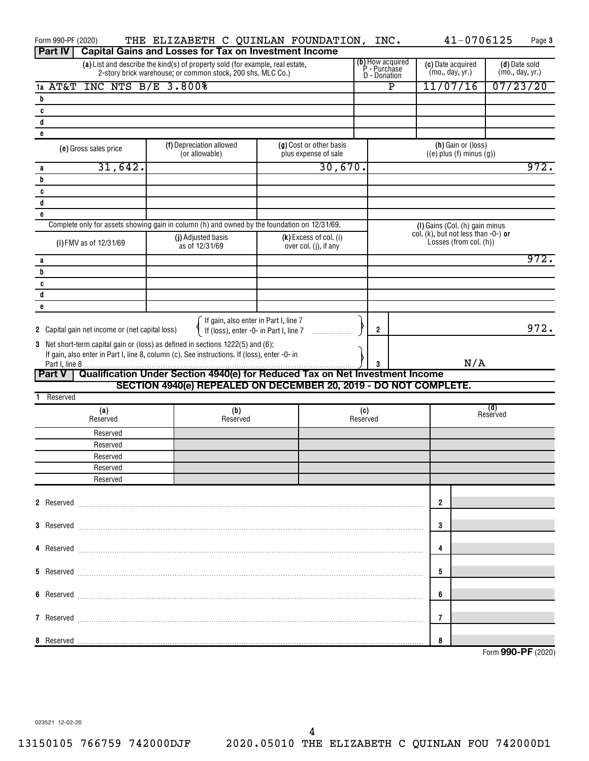| Form 990-PF (2020)                                                              | THE ELIZABETH C QUINLAN FOUNDATION, INC.                                                                                                      |                                                   |                                  |             | 41-0706125                                                    | Page 3             |
|---------------------------------------------------------------------------------|-----------------------------------------------------------------------------------------------------------------------------------------------|---------------------------------------------------|----------------------------------|-------------|---------------------------------------------------------------|--------------------|
| <b>Part IV</b>                                                                  | <b>Capital Gains and Losses for Tax on Investment Income</b><br>(a) List and describe the kind(s) of property sold (for example, real estate, |                                                   | (b) How acquired<br>P - Purchase |             | (c) Date acquired                                             | (d) Date sold      |
|                                                                                 | 2-story brick warehouse; or common stock, 200 shs. MLC Co.)                                                                                   |                                                   | <b>D</b> - Donation              |             | (mo., day, yr.)                                               | (mo., day, yr.)    |
| <b>INC NTS B/E 3.800%</b><br>1a AT&T                                            |                                                                                                                                               |                                                   |                                  | $\mathbf P$ | 11/07/16                                                      | 07/23/20           |
| b                                                                               |                                                                                                                                               |                                                   |                                  |             |                                                               |                    |
| C<br>d                                                                          |                                                                                                                                               |                                                   |                                  |             |                                                               |                    |
| e                                                                               |                                                                                                                                               |                                                   |                                  |             |                                                               |                    |
| (e) Gross sales price                                                           | (f) Depreciation allowed<br>(or allowable)                                                                                                    | (g) Cost or other basis<br>plus expense of sale   |                                  |             | (h) Gain or (loss)<br>$((e)$ plus $(f)$ minus $(g))$          |                    |
| 31,642.<br>a                                                                    |                                                                                                                                               | 30,670.                                           |                                  |             |                                                               | 972.               |
| b                                                                               |                                                                                                                                               |                                                   |                                  |             |                                                               |                    |
| C<br>d                                                                          |                                                                                                                                               |                                                   |                                  |             |                                                               |                    |
| e                                                                               |                                                                                                                                               |                                                   |                                  |             |                                                               |                    |
|                                                                                 | Complete only for assets showing gain in column (h) and owned by the foundation on 12/31/69.                                                  |                                                   |                                  |             | (I) Gains (Col. (h) gain minus                                |                    |
| (i) FMV as of 12/31/69                                                          | (j) Adjusted basis<br>as of 12/31/69                                                                                                          | $(k)$ Excess of col. (i)<br>over col. (j), if any |                                  |             | col. (k), but not less than -0-) or<br>Losses (from col. (h)) |                    |
| a                                                                               |                                                                                                                                               |                                                   |                                  |             |                                                               | 972.               |
| b                                                                               |                                                                                                                                               |                                                   |                                  |             |                                                               |                    |
| C<br>d                                                                          |                                                                                                                                               |                                                   |                                  |             |                                                               |                    |
| e                                                                               |                                                                                                                                               |                                                   |                                  |             |                                                               |                    |
| 2 Capital gain net income or (net capital loss)                                 | If gain, also enter in Part I, line 7<br>If (loss), enter -0- in Part I, line 7                                                               |                                                   | $\overline{2}$                   |             |                                                               | 972.               |
| 3 Net short-term capital gain or (loss) as defined in sections 1222(5) and (6): |                                                                                                                                               |                                                   |                                  |             |                                                               |                    |
|                                                                                 | If gain, also enter in Part I, line 8, column (c). See instructions. If (loss), enter -0- in                                                  |                                                   | 3                                |             | N/A                                                           |                    |
| <b>Part V</b>                                                                   | Qualification Under Section 4940(e) for Reduced Tax on Net Investment Income                                                                  |                                                   |                                  |             |                                                               |                    |
|                                                                                 | SECTION 4940(e) REPEALED ON DECEMBER 20, 2019 - DO NOT COMPLETE.                                                                              |                                                   |                                  |             |                                                               |                    |
| 1 Reserved                                                                      |                                                                                                                                               |                                                   |                                  |             |                                                               |                    |
| (a)<br>Reserved                                                                 | (b)<br>Reserved                                                                                                                               |                                                   | (c)<br>Reserved                  |             |                                                               | (d)<br>Reserved    |
| Reserved                                                                        |                                                                                                                                               |                                                   |                                  |             |                                                               |                    |
| Reserved                                                                        |                                                                                                                                               |                                                   |                                  |             |                                                               |                    |
| Reserved<br>Reserved                                                            |                                                                                                                                               |                                                   |                                  |             |                                                               |                    |
| Reserved                                                                        |                                                                                                                                               |                                                   |                                  |             |                                                               |                    |
|                                                                                 |                                                                                                                                               |                                                   |                                  |             |                                                               |                    |
|                                                                                 |                                                                                                                                               |                                                   |                                  |             | 2                                                             |                    |
|                                                                                 |                                                                                                                                               |                                                   |                                  |             | 3                                                             |                    |
|                                                                                 |                                                                                                                                               |                                                   |                                  |             | 4                                                             |                    |
|                                                                                 |                                                                                                                                               |                                                   |                                  |             | 5                                                             |                    |
|                                                                                 |                                                                                                                                               |                                                   |                                  |             | 6                                                             |                    |
|                                                                                 |                                                                                                                                               |                                                   |                                  |             | 7                                                             |                    |
| 8 Reserved                                                                      |                                                                                                                                               |                                                   |                                  |             | 8                                                             |                    |
|                                                                                 |                                                                                                                                               |                                                   |                                  |             |                                                               | Form 990-PF (2020) |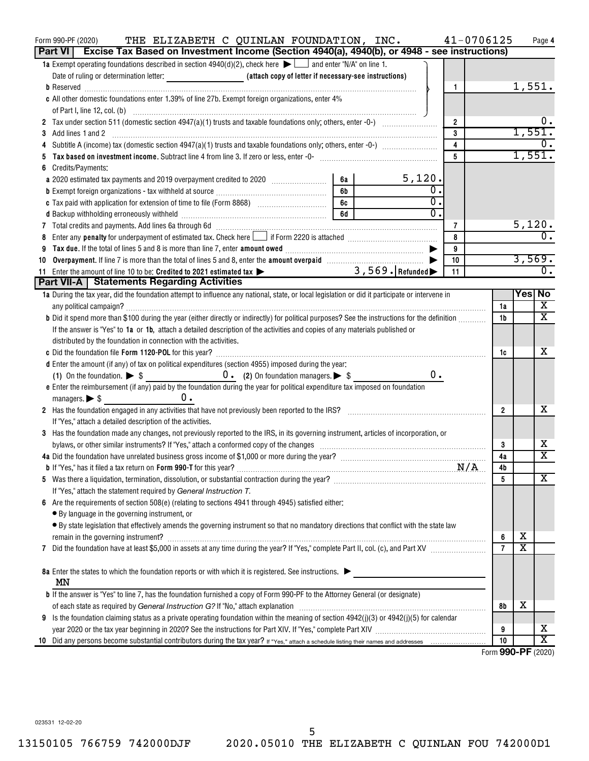| THE ELIZABETH C QUINLAN FOUNDATION, INC.<br>Form 990-PF (2020)<br>Part VI   Excise Tax Based on Investment Income (Section 4940(a), 4940(b), or 4948 - see instructions)                                                                         | 41-0706125           |                         | Page 4                  |
|--------------------------------------------------------------------------------------------------------------------------------------------------------------------------------------------------------------------------------------------------|----------------------|-------------------------|-------------------------|
| 1a Exempt operating foundations described in section $4940(d)(2)$ , check here $\blacktriangleright$ and enter "N/A" on line 1.                                                                                                                  |                      |                         |                         |
| Date of ruling or determination letter: <b>Alternative Constanting Constant</b> (attach copy of letter if necessary-see instructions)                                                                                                            |                      |                         |                         |
| $\mathbf{1}$                                                                                                                                                                                                                                     |                      |                         | 1,551.                  |
| c All other domestic foundations enter 1.39% of line 27b. Exempt foreign organizations, enter 4%                                                                                                                                                 |                      |                         |                         |
|                                                                                                                                                                                                                                                  |                      |                         |                         |
| $\overline{2}$                                                                                                                                                                                                                                   |                      |                         |                         |
| $\mathbf{3}$                                                                                                                                                                                                                                     |                      | 1,551                   |                         |
| 4                                                                                                                                                                                                                                                |                      |                         |                         |
| $5\phantom{.0}$<br>Tax based on investment income. Subtract line 4 from line 3. If zero or less, enter -0- manufactured contains and the set of the substantial manufactured in the set of the set of the substantial manufactured in the set of |                      |                         | 1,551.                  |
| Credits/Payments:                                                                                                                                                                                                                                |                      |                         |                         |
| 5,120.<br>6а<br>a 2020 estimated tax payments and 2019 overpayment credited to 2020 [100] [100] [100] [100] as a 2020 [100] [1                                                                                                                   |                      |                         |                         |
| 0<br>6b<br>0                                                                                                                                                                                                                                     |                      |                         |                         |
| 6c   1990<br>$\overline{0}$ .                                                                                                                                                                                                                    |                      |                         |                         |
| 6d                                                                                                                                                                                                                                               |                      |                         | 5,120.                  |
| 7 Total credits and payments. Add lines 6a through 6d [11] [11] Total Conservation contracts and payments. Add lines 6a through 6d [11] [12] Total Conservation contracts and payments. Add lines 6a through 6d [11] [12] Tota<br>7<br>8         |                      |                         | $\overline{0}$ .        |
| 9                                                                                                                                                                                                                                                |                      |                         |                         |
| 9<br>Overpayment. If line 7 is more than the total of lines 5 and 8, enter the amount overpaid manufactured by the T<br>10<br>10                                                                                                                 |                      |                         | 3,569.                  |
| 11 Enter the amount of line 10 to be: Credited to 2021 estimated tax > 3,569. Refunded<br>11                                                                                                                                                     |                      |                         | $\overline{0}$ .        |
| <b>Part VII-A   Statements Regarding Activities</b>                                                                                                                                                                                              |                      |                         |                         |
| 1a During the tax year, did the foundation attempt to influence any national, state, or local legislation or did it participate or intervene in                                                                                                  |                      |                         | Yes No                  |
|                                                                                                                                                                                                                                                  | 1a                   |                         | X                       |
| b Did it spend more than \$100 during the year (either directly or indirectly) for political purposes? See the instructions for the definition                                                                                                   | 1b                   |                         | $\overline{\mathtt{x}}$ |
| If the answer is "Yes" to 1a or 1b, attach a detailed description of the activities and copies of any materials published or                                                                                                                     |                      |                         |                         |
| distributed by the foundation in connection with the activities.                                                                                                                                                                                 |                      |                         |                         |
|                                                                                                                                                                                                                                                  | 1c                   |                         | x                       |
| d Enter the amount (if any) of tax on political expenditures (section 4955) imposed during the year:                                                                                                                                             |                      |                         |                         |
| 0.                                                                                                                                                                                                                                               |                      |                         |                         |
| e Enter the reimbursement (if any) paid by the foundation during the year for political expenditure tax imposed on foundation                                                                                                                    |                      |                         |                         |
| υ.<br>$m$ anagers. $\triangleright$ \$                                                                                                                                                                                                           |                      |                         |                         |
| 2 Has the foundation engaged in any activities that have not previously been reported to the IRS?                                                                                                                                                | $\overline{2}$       |                         | х                       |
| If "Yes," attach a detailed description of the activities.                                                                                                                                                                                       |                      |                         |                         |
| 3 Has the foundation made any changes, not previously reported to the IRS, in its governing instrument, articles of incorporation, or                                                                                                            |                      |                         |                         |
|                                                                                                                                                                                                                                                  | 3                    |                         | х                       |
|                                                                                                                                                                                                                                                  | 4a                   |                         | $\overline{\mathtt{x}}$ |
| <b>b</b> If "Yes," has it filed a tax return on Form 990-T for this year?                                                                                                                                                                        | 4b                   |                         |                         |
|                                                                                                                                                                                                                                                  | 5                    |                         | X                       |
| If "Yes," attach the statement required by General Instruction T.                                                                                                                                                                                |                      |                         |                         |
| Are the requirements of section 508(e) (relating to sections 4941 through 4945) satisfied either:<br>6                                                                                                                                           |                      |                         |                         |
| • By language in the governing instrument, or                                                                                                                                                                                                    |                      |                         |                         |
| · By state legislation that effectively amends the governing instrument so that no mandatory directions that conflict with the state law                                                                                                         |                      | х                       |                         |
|                                                                                                                                                                                                                                                  | 6<br>$\overline{7}$  | $\overline{\textbf{x}}$ |                         |
| 7                                                                                                                                                                                                                                                |                      |                         |                         |
| 8a Enter the states to which the foundation reports or with which it is registered. See instructions.                                                                                                                                            |                      |                         |                         |
| MΝ                                                                                                                                                                                                                                               |                      |                         |                         |
| <b>b</b> If the answer is "Yes" to line 7, has the foundation furnished a copy of Form 990-PF to the Attorney General (or designate)                                                                                                             |                      |                         |                         |
| of each state as required by General Instruction G? If "No," attach explanation manufactured contains and contained as the state as required by General Instruction G? If "No," attach explanation manufactured as a state of                    | 8b                   | х                       |                         |
| 9 Is the foundation claiming status as a private operating foundation within the meaning of section $4942(j)(3)$ or $4942(j)(5)$ for calendar                                                                                                    |                      |                         |                         |
|                                                                                                                                                                                                                                                  | 9                    |                         | х                       |
| 10                                                                                                                                                                                                                                               | 10                   |                         | $\overline{\textbf{x}}$ |
|                                                                                                                                                                                                                                                  | $Form$ QQQ DE (2020) |                         |                         |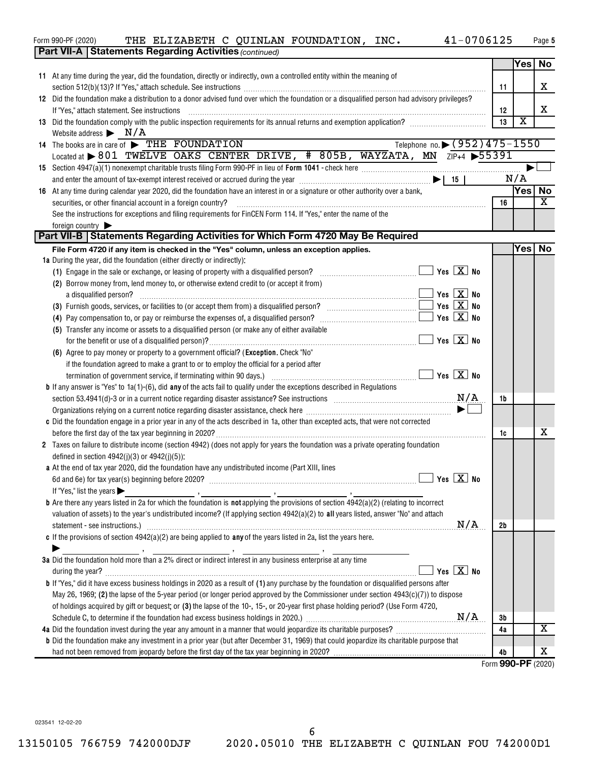| Form 990-PF (2020)                                                      | THE ELIZABETH C QUINLAN FOUNDATION, INC.                                                                                                                                                                                       | 41-0706125                                      |    |                         | Page 5 |
|-------------------------------------------------------------------------|--------------------------------------------------------------------------------------------------------------------------------------------------------------------------------------------------------------------------------|-------------------------------------------------|----|-------------------------|--------|
|                                                                         | <b>Part VII-A   Statements Regarding Activities (continued)</b>                                                                                                                                                                |                                                 |    |                         |        |
|                                                                         |                                                                                                                                                                                                                                |                                                 |    | Yes No                  |        |
|                                                                         | 11 At any time during the year, did the foundation, directly or indirectly, own a controlled entity within the meaning of                                                                                                      |                                                 |    |                         |        |
|                                                                         |                                                                                                                                                                                                                                |                                                 | 11 |                         | X      |
|                                                                         | 12 Did the foundation make a distribution to a donor advised fund over which the foundation or a disqualified person had advisory privileges?                                                                                  |                                                 |    |                         |        |
| If "Yes," attach statement. See instructions                            |                                                                                                                                                                                                                                |                                                 | 12 |                         | X      |
|                                                                         | 13 Did the foundation comply with the public inspection requirements for its annual returns and exemption application?                                                                                                         |                                                 | 13 | $\overline{\textbf{x}}$ |        |
| Website address $\triangleright$ N/A                                    |                                                                                                                                                                                                                                |                                                 |    |                         |        |
| 14 The books are in care of FIHE FOUNDATION                             |                                                                                                                                                                                                                                | Telephone no. > (952)475-1550                   |    |                         |        |
|                                                                         | Located at > 801 TWELVE OAKS CENTER DRIVE, # 805B, WAYZATA, MN ZIP+4 > 55391                                                                                                                                                   |                                                 |    |                         |        |
|                                                                         |                                                                                                                                                                                                                                |                                                 |    |                         |        |
|                                                                         |                                                                                                                                                                                                                                |                                                 |    | N/A                     |        |
|                                                                         | 16 At any time during calendar year 2020, did the foundation have an interest in or a signature or other authority over a bank,                                                                                                |                                                 |    | Yes No                  | X      |
| securities, or other financial account in a foreign country?            |                                                                                                                                                                                                                                |                                                 | 16 |                         |        |
| foreign country                                                         | See the instructions for exceptions and filing requirements for FinCEN Form 114. If "Yes," enter the name of the                                                                                                               |                                                 |    |                         |        |
|                                                                         | Part VII-B   Statements Regarding Activities for Which Form 4720 May Be Required                                                                                                                                               |                                                 |    |                         |        |
|                                                                         | File Form 4720 if any item is checked in the "Yes" column, unless an exception applies.                                                                                                                                        |                                                 |    | Yesl                    | No     |
| 1a During the year, did the foundation (either directly or indirectly): |                                                                                                                                                                                                                                |                                                 |    |                         |        |
|                                                                         | (1) Engage in the sale or exchange, or leasing of property with a disqualified person?                                                                                                                                         | $\Box$ Yes $\boxed{\text{X}}$ No                |    |                         |        |
|                                                                         | (2) Borrow money from, lend money to, or otherwise extend credit to (or accept it from)                                                                                                                                        |                                                 |    |                         |        |
| a disqualified person?                                                  |                                                                                                                                                                                                                                | $\blacksquare$ Yes $\boxed{\mathrm{X}}$ No      |    |                         |        |
|                                                                         |                                                                                                                                                                                                                                | $\blacksquare$ Yes $\boxed{\mathrm{X}}$ No      |    |                         |        |
|                                                                         |                                                                                                                                                                                                                                | $Yes \mid X \mid No$                            |    |                         |        |
|                                                                         | (5) Transfer any income or assets to a disqualified person (or make any of either available                                                                                                                                    |                                                 |    |                         |        |
|                                                                         |                                                                                                                                                                                                                                | $\blacksquare$ Yes $\boxed{\mathrm{X}}$ No      |    |                         |        |
|                                                                         | (6) Agree to pay money or property to a government official? (Exception. Check "No"                                                                                                                                            |                                                 |    |                         |        |
|                                                                         | if the foundation agreed to make a grant to or to employ the official for a period after                                                                                                                                       |                                                 |    |                         |        |
|                                                                         | termination of government service, if terminating within 90 days.) [11, 12, 13, 13, 13, 13, 13, 13, 13, 13, 13                                                                                                                 | $\boxed{\phantom{1}}$ Yes $\boxed{\text{X}}$ No |    |                         |        |
|                                                                         | <b>b</b> If any answer is "Yes" to $1a(1)-(6)$ , did any of the acts fail to qualify under the exceptions described in Regulations                                                                                             |                                                 |    |                         |        |
|                                                                         | section 53.4941(d)-3 or in a current notice regarding disaster assistance? See instructions $\text{M/A}$                                                                                                                       |                                                 | 1b |                         |        |
|                                                                         |                                                                                                                                                                                                                                |                                                 |    |                         |        |
|                                                                         | c Did the foundation engage in a prior year in any of the acts described in 1a, other than excepted acts, that were not corrected                                                                                              |                                                 |    |                         |        |
| before the first day of the tax year beginning in 2020?                 |                                                                                                                                                                                                                                |                                                 | 1c |                         | x      |
|                                                                         | 2 Taxes on failure to distribute income (section 4942) (does not apply for years the foundation was a private operating foundation                                                                                             |                                                 |    |                         |        |
| defined in section $4942(j)(3)$ or $4942(j)(5)$ ):                      |                                                                                                                                                                                                                                |                                                 |    |                         |        |
|                                                                         | a At the end of tax year 2020, did the foundation have any undistributed income (Part XIII, lines                                                                                                                              |                                                 |    |                         |        |
|                                                                         | 6d and 6e) for tax year(s) beginning before 2020? [11] matter contracts and contract of the state of the state of the state of the state of the state of the state of the state of the state of the state of the state of the  | $\Box$ Yes $\boxed{\textbf{X}}$ No              |    |                         |        |
| If "Yes," list the years $\blacktriangleright$                          |                                                                                                                                                                                                                                |                                                 |    |                         |        |
|                                                                         | <b>b</b> Are there any years listed in 2a for which the foundation is <b>not</b> applying the provisions of section $4942(a)(2)$ (relating to incorrect                                                                        |                                                 |    |                         |        |
|                                                                         | valuation of assets) to the year's undistributed income? (If applying section 4942(a)(2) to all years listed, answer "No" and attach                                                                                           |                                                 |    |                         |        |
|                                                                         | statement - see instructions.) Material Communications and the intervention of the set in the seeding of the statement of the statement of the statement of the statement of the statement of the statement of the statement o | N/A                                             | 2b |                         |        |
|                                                                         | c If the provisions of section $4942(a)(2)$ are being applied to any of the years listed in 2a, list the years here.                                                                                                           |                                                 |    |                         |        |
|                                                                         |                                                                                                                                                                                                                                |                                                 |    |                         |        |
|                                                                         | 3a Did the foundation hold more than a 2% direct or indirect interest in any business enterprise at any time                                                                                                                   |                                                 |    |                         |        |
|                                                                         |                                                                                                                                                                                                                                | $Yes \vert X \vert No$                          |    |                         |        |
|                                                                         | <b>b</b> If "Yes," did it have excess business holdings in 2020 as a result of (1) any purchase by the foundation or disqualified persons after                                                                                |                                                 |    |                         |        |
|                                                                         | May 26, 1969; (2) the lapse of the 5-year period (or longer period approved by the Commissioner under section $4943(c)(7)$ ) to dispose                                                                                        |                                                 |    |                         |        |
|                                                                         | of holdings acquired by gift or bequest; or (3) the lapse of the 10-, 15-, or 20-year first phase holding period? (Use Form 4720,                                                                                              |                                                 |    |                         |        |
|                                                                         |                                                                                                                                                                                                                                |                                                 | 3b |                         |        |
|                                                                         |                                                                                                                                                                                                                                |                                                 | 4a |                         | х      |
|                                                                         | <b>b</b> Did the foundation make any investment in a prior year (but after December 31, 1969) that could jeopardize its charitable purpose that                                                                                |                                                 |    |                         |        |
|                                                                         |                                                                                                                                                                                                                                |                                                 | 4b |                         | x      |
|                                                                         |                                                                                                                                                                                                                                |                                                 |    | Form 990-PF (2020)      |        |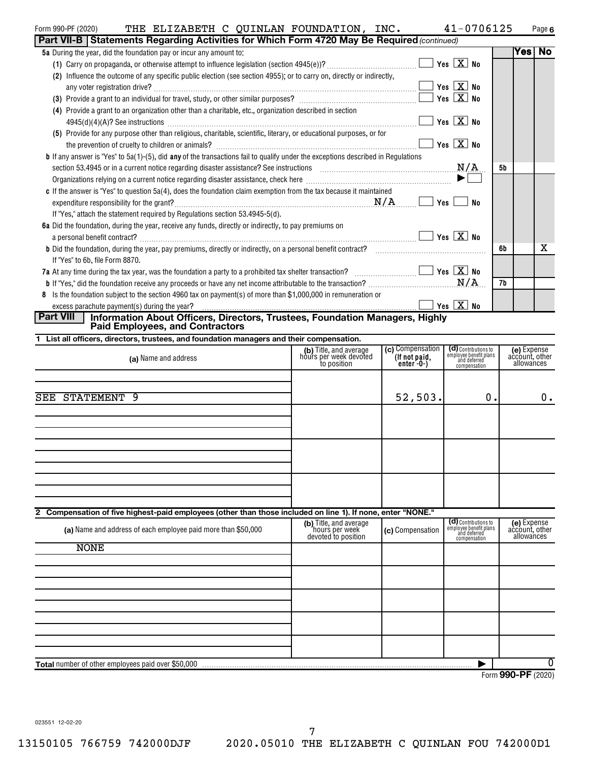| (2020)<br>Form 990-l | THE | ELIZABETH C | OUINLAN | FOUNDATION | INC | - 11 | Page 6 |
|----------------------|-----|-------------|---------|------------|-----|------|--------|
|                      |     |             |         |            |     |      |        |

| Part VII-B   Statements Regarding Activities for Which Form 4720 May Be Required (continued)                                                                                                                                                                 |    |      |    |
|--------------------------------------------------------------------------------------------------------------------------------------------------------------------------------------------------------------------------------------------------------------|----|------|----|
| 5a During the year, did the foundation pay or incur any amount to:                                                                                                                                                                                           |    | Yesl | No |
| Yes $X$ No                                                                                                                                                                                                                                                   |    |      |    |
| (2) Influence the outcome of any specific public election (see section 4955); or to carry on, directly or indirectly,                                                                                                                                        |    |      |    |
| $\blacksquare$ Yes $\boxed{\mathrm{X}}$ No                                                                                                                                                                                                                   |    |      |    |
|                                                                                                                                                                                                                                                              |    |      |    |
| (4) Provide a grant to an organization other than a charitable, etc., organization described in section                                                                                                                                                      |    |      |    |
| Yes $X$ No                                                                                                                                                                                                                                                   |    |      |    |
| (5) Provide for any purpose other than religious, charitable, scientific, literary, or educational purposes, or for                                                                                                                                          |    |      |    |
| Yes $X$ No                                                                                                                                                                                                                                                   |    |      |    |
| <b>b</b> If any answer is "Yes" to 5a(1)-(5), did any of the transactions fail to qualify under the exceptions described in Regulations                                                                                                                      |    |      |    |
| section 53.4945 or in a current notice regarding disaster assistance? See instructions $M/A$                                                                                                                                                                 | 5b |      |    |
| $\blacktriangleright$<br>Organizations relying on a current notice regarding disaster assistance, check here <i>macurential content contention</i> content of the state of the state of the state of the state of the state of the state of the state of the |    |      |    |
| c If the answer is "Yes" to question 5a(4), does the foundation claim exemption from the tax because it maintained                                                                                                                                           |    |      |    |
| $Yes \mid \cdot$                                                                                                                                                                                                                                             | No |      |    |
| If "Yes," attach the statement required by Regulations section 53.4945-5(d).                                                                                                                                                                                 |    |      |    |
| 6a Did the foundation, during the year, receive any funds, directly or indirectly, to pay premiums on                                                                                                                                                        |    |      |    |
| $\blacksquare$ Yes $\boxed{\mathrm{X}}$ No                                                                                                                                                                                                                   |    |      |    |
| b Did the foundation, during the year, pay premiums, directly or indirectly, on a personal benefit contract?                                                                                                                                                 | 6b |      | x  |
| If "Yes" to 6b, file Form 8870.                                                                                                                                                                                                                              |    |      |    |
| 7a At any time during the tax year, was the foundation a party to a prohibited tax shelter transaction? $\ldots$                                                                                                                                             |    |      |    |
|                                                                                                                                                                                                                                                              | 7b |      |    |
| 8 Is the foundation subject to the section 4960 tax on payment(s) of more than \$1,000,000 in remuneration or                                                                                                                                                |    |      |    |
| Yes $X$ No<br>excess parachute payment(s) during the year?                                                                                                                                                                                                   |    |      |    |
| <b>Part VIII</b><br>Information About Officers, Directors, Trustees, Foundation Managers, Highly<br><b>Paid Employees, and Contractors</b>                                                                                                                   |    |      |    |

**1 List all officers, directors, trustees, and foundation managers and their compensation.**

| (a) Name and address                                                                                        | (b) Title, and average<br>hours per week devoted<br>to position | (c) Compensation<br>(If not paid,<br>enter -0-) | (d) Contributions to<br>employee benefit plans<br>and deferred<br>compensation | (e) Expense<br>account, other<br>allowances |
|-------------------------------------------------------------------------------------------------------------|-----------------------------------------------------------------|-------------------------------------------------|--------------------------------------------------------------------------------|---------------------------------------------|
|                                                                                                             |                                                                 |                                                 |                                                                                |                                             |
| SEE STATEMENT 9                                                                                             |                                                                 | 52,503.                                         | 0.                                                                             | $0$ .                                       |
|                                                                                                             |                                                                 |                                                 |                                                                                |                                             |
|                                                                                                             |                                                                 |                                                 |                                                                                |                                             |
|                                                                                                             |                                                                 |                                                 |                                                                                |                                             |
|                                                                                                             |                                                                 |                                                 |                                                                                |                                             |
| 2 Compensation of five highest-paid employees (other than those included on line 1). If none, enter "NONE." |                                                                 |                                                 |                                                                                |                                             |
| (a) Name and address of each employee paid more than \$50,000                                               | (b) Title, and average<br>hours per week<br>devoted to position | (c) Compensation                                | (d) Contributions to<br>employee benefit plans<br>and deferred<br>compensation | (e) Expense<br>account, other<br>allowances |
| <b>NONE</b>                                                                                                 |                                                                 |                                                 |                                                                                |                                             |
|                                                                                                             |                                                                 |                                                 |                                                                                |                                             |
|                                                                                                             |                                                                 |                                                 |                                                                                |                                             |
|                                                                                                             |                                                                 |                                                 |                                                                                |                                             |
|                                                                                                             |                                                                 |                                                 |                                                                                |                                             |
| Total number of other employees paid over \$50,000                                                          |                                                                 |                                                 |                                                                                | $\overline{0}$                              |

Form (2020) **990-PF**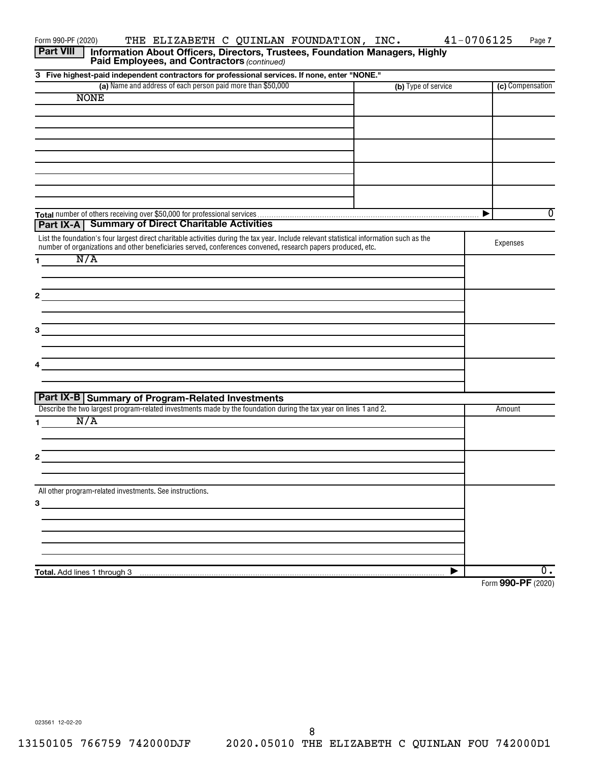0

**3 Five highest-paid independent contractors for professional services. If none, enter "NONE." (a)** Name and address of each person paid more than \$50,000 **The Compensation Compensation (c)** Compensation **Total** number of others receiving over \$50,000 for professional services **1 2 3 4 1 2 3** Paid Employees, and Contractors (continued) Form 990-PF (2020) THE ELIZABETH C QUINLAN FOUNDATION, INC.  $41-0706125$  Page List the foundation's four largest direct charitable activities during the tax year. Include relevant statistical information such as the number of organizations and other beneficiaries served, conferences convened, research papers produced, etc. Expenses Describe the two largest program-related investments made by the foundation during the tax year on lines 1 and 2. All other program-related investments. See instructions. **Part VIII** | Information About Officers, Directors, Trustees, Foundation Managers, Highly **Part IX-A Summary of Direct Charitable Activities Part IX-B Summary of Program-Related Investments**  $\blacktriangleright$ NONE N/A N/A

**Total.** Add lines 1 through 3

Form (2020) **990-PF**

 $\overline{0}$  .

 $\overline{\blacktriangleright}$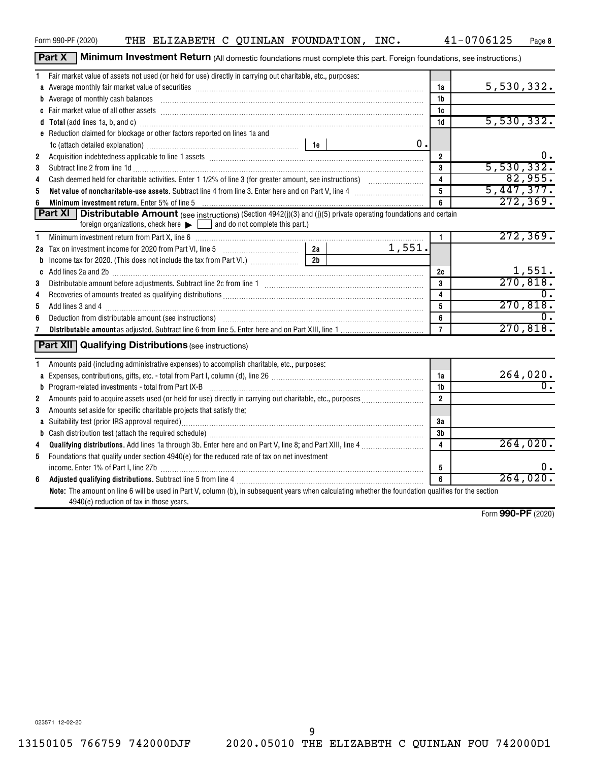9

| Form 990-PF (2020) |  |  | THE ELIZABETH C QUINLAN FOUNDATION, INC. |  | 41-0706125 | Page |
|--------------------|--|--|------------------------------------------|--|------------|------|

Part X | Minimum Investment Return (All domestic foundations must complete this part. Foreign foundations, see instructions.)

| 1.                      | Fair market value of assets not used (or held for use) directly in carrying out charitable, etc., purposes:                                                                                                                        |                |        |                         |                         |
|-------------------------|------------------------------------------------------------------------------------------------------------------------------------------------------------------------------------------------------------------------------------|----------------|--------|-------------------------|-------------------------|
|                         | a Average monthly fair market value of securities [11] matter content to a second test of securities and a securities [11] and a second test of a securities and a second test of a second second second second second second      |                |        | 1a                      | 5,530,332.              |
|                         | b Average of monthly cash balances <b>constructed and all and all and all an</b> Average of monthly cash balances                                                                                                                  |                |        | 1b                      |                         |
|                         |                                                                                                                                                                                                                                    |                |        | 1c                      |                         |
|                         | d Total (add lines 1a, b, and c) Mathematical Annual Communication and Total (add lines 1a, b, and c)                                                                                                                              |                |        | 1d                      | 5,530,332.              |
|                         | e Reduction claimed for blockage or other factors reported on lines 1a and                                                                                                                                                         |                |        |                         |                         |
|                         |                                                                                                                                                                                                                                    |                | $0$ .  |                         |                         |
| $\overline{\mathbf{2}}$ |                                                                                                                                                                                                                                    |                |        | $\overline{2}$          | Ο.                      |
| 3                       | Subtract line 2 from line 1d <b>matures and the contract of the 1d</b> matures and the contract line 2 from line 1d matures and the contract of the contract of the 2 from line 1d matures and the contract of the contract of the |                |        | 3                       | 5,530,332.              |
| 4                       |                                                                                                                                                                                                                                    |                |        | $\overline{\mathbf{4}}$ | 82,955.                 |
| 5                       |                                                                                                                                                                                                                                    |                |        | $\overline{5}$          | 5,447,377.              |
| 6                       | Minimum investment return. Enter 5% of line 5 [11] Minimum materials and the intervention of the state of the state of the state of the state of the state of the state of the state of the state of the state of the state of     |                |        | 6                       | 272, 369.               |
|                         | <b>Part XI</b> Distributable Amount (see instructions) (Section 4942(j)(3) and (j)(5) private operating foundations and certain                                                                                                    |                |        |                         |                         |
|                         | foreign organizations, check here $\blacktriangleright$   and do not complete this part.)                                                                                                                                          |                |        |                         |                         |
| 1                       | Minimum investment return from Part X, line 6 [11] [11] Minimum manufacture in the state of the state of the state of the state of the state of the state of the state of the state of the state of the state of the state of      |                |        | $\mathbf{1}$            | 272, 369.               |
|                         |                                                                                                                                                                                                                                    |                | 1,551. |                         |                         |
| b                       |                                                                                                                                                                                                                                    | 2 <sub>h</sub> |        |                         |                         |
|                         |                                                                                                                                                                                                                                    |                |        | 2c                      |                         |
| 3                       |                                                                                                                                                                                                                                    |                |        | 3                       | $\frac{1,551}{270,818}$ |
| 4                       |                                                                                                                                                                                                                                    |                |        | 4                       |                         |
| 5                       |                                                                                                                                                                                                                                    |                |        | 5                       | 270,818.                |
| 6                       | Deduction from distributable amount (see instructions) www.communically.communically.communically.communically                                                                                                                     |                |        | 6                       |                         |
| 7                       |                                                                                                                                                                                                                                    |                |        | $\overline{7}$          | 270,818.                |
|                         | <b>Part XII Qualifying Distributions (see instructions)</b>                                                                                                                                                                        |                |        |                         |                         |
| 1.                      | Amounts paid (including administrative expenses) to accomplish charitable, etc., purposes:                                                                                                                                         |                |        |                         |                         |
|                         |                                                                                                                                                                                                                                    |                |        | 1a                      | $\frac{264,020}{0}$     |
|                         |                                                                                                                                                                                                                                    |                |        | 1b                      |                         |
| $\mathbf{2}$            |                                                                                                                                                                                                                                    |                |        | $2^{\circ}$             |                         |
| 3                       | Amounts set aside for specific charitable projects that satisfy the:                                                                                                                                                               |                |        |                         |                         |
|                         |                                                                                                                                                                                                                                    |                |        | 3a                      |                         |
|                         |                                                                                                                                                                                                                                    |                |        | 3 <sub>b</sub>          |                         |
| 4                       |                                                                                                                                                                                                                                    |                |        | $\overline{\mathbf{4}}$ | 264,020.                |
| 5                       | Foundations that qualify under section 4940(e) for the reduced rate of tax on net investment                                                                                                                                       |                |        |                         |                         |
|                         | income. Enter 1% of Part I, line 27b [111] [12] [12] [12] [12] [12] [12] [13] [14] [14] [14] [14] [14] [14] [1                                                                                                                     |                |        | 5                       | υ.                      |
| 6                       |                                                                                                                                                                                                                                    |                |        | 6                       | 264,020.                |
|                         | Note: The amount on line 6 will be used in Part V, column (b), in subsequent years when calculating whether the foundation qualifies for the section<br>4940(e) reduction of tax in those years.                                   |                |        |                         |                         |

Form (2020) **990-PF**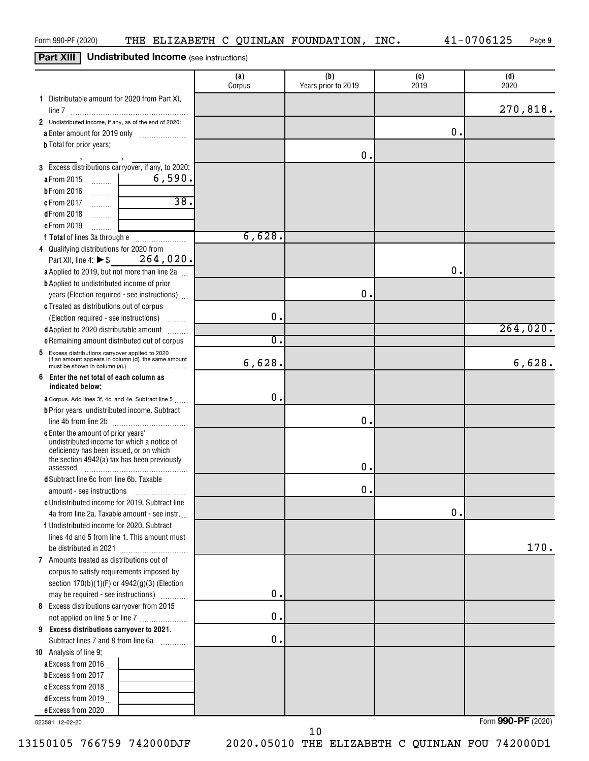## **Part XIII Undistributed Income** (see instructions)

|                                                                                       | (a)<br>Corpus | (b)<br>Years prior to 2019 | (c)<br>2019   | (d)<br>2020 |
|---------------------------------------------------------------------------------------|---------------|----------------------------|---------------|-------------|
| 1 Distributable amount for 2020 from Part XI,                                         |               |                            |               |             |
|                                                                                       |               |                            |               | 270,818.    |
| 2 Undistributed income, if any, as of the end of 2020:                                |               |                            |               |             |
| a Enter amount for 2019 only                                                          |               |                            | $\mathbf 0$ . |             |
| <b>b</b> Total for prior years:                                                       |               |                            |               |             |
|                                                                                       |               | О.                         |               |             |
| 3 Excess distributions carryover, if any, to 2020:                                    |               |                            |               |             |
| 6,590.<br>a From 2015<br>. 1                                                          |               |                            |               |             |
| <b>b</b> From 2016<br>.                                                               |               |                            |               |             |
| 38.<br>c From 2017<br>.                                                               |               |                            |               |             |
| <b>dFrom 2018</b><br>.                                                                |               |                            |               |             |
| e From 2019<br>.                                                                      |               |                            |               |             |
|                                                                                       | 6,628.        |                            |               |             |
| 4 Qualifying distributions for 2020 from                                              |               |                            |               |             |
| Part XII, line 4: ▶ \$ 264, 020.                                                      |               |                            |               |             |
| a Applied to 2019, but not more than line 2a                                          |               |                            | 0.            |             |
| <b>b</b> Applied to undistributed income of prior                                     |               |                            |               |             |
| years (Election required - see instructions)                                          |               | О.                         |               |             |
| c Treated as distributions out of corpus                                              |               |                            |               |             |
| (Election required - see instructions)                                                | $\mathbf 0$ . |                            |               |             |
| d Applied to 2020 distributable amount                                                |               |                            |               | 264,020.    |
| e Remaining amount distributed out of corpus                                          | σ.            |                            |               |             |
| 5 Excess distributions carryover applied to 2020                                      |               |                            |               |             |
| (If an amount appears in column (d), the same amount<br>must be shown in column (a).) | 6,628.        |                            |               | 6,628.      |
| Enter the net total of each column as<br>6<br>indicated below;                        |               |                            |               |             |
| <b>a</b> Corpus. Add lines 3f, 4c, and 4e. Subtract line 5                            | $\mathbf 0$ . |                            |               |             |
| <b>b</b> Prior years' undistributed income. Subtract                                  |               |                            |               |             |
|                                                                                       |               | О.                         |               |             |
| <b>c</b> Enter the amount of prior years'                                             |               |                            |               |             |
| undistributed income for which a notice of<br>deficiency has been issued, or on which |               |                            |               |             |
| the section 4942(a) tax has been previously                                           |               |                            |               |             |
| assessed                                                                              |               | 0.                         |               |             |
| d Subtract line 6c from line 6b. Taxable                                              |               |                            |               |             |
|                                                                                       |               | О.                         |               |             |
| e Undistributed income for 2019. Subtract line                                        |               |                            |               |             |
| 4a from line 2a. Taxable amount - see instr.                                          |               |                            | 0.            |             |
| f Undistributed income for 2020. Subtract                                             |               |                            |               |             |
| lines 4d and 5 from line 1. This amount must                                          |               |                            |               |             |
|                                                                                       |               |                            |               | 170.        |
| 7 Amounts treated as distributions out of                                             |               |                            |               |             |
| corpus to satisfy requirements imposed by                                             |               |                            |               |             |
| section $170(b)(1)(F)$ or $4942(g)(3)$ (Election                                      |               |                            |               |             |
| may be required - see instructions)                                                   | 0.            |                            |               |             |
| 8 Excess distributions carryover from 2015                                            |               |                            |               |             |
| not applied on line 5 or line 7                                                       | $\mathbf 0$ . |                            |               |             |
| 9 Excess distributions carryover to 2021.                                             |               |                            |               |             |
| Subtract lines 7 and 8 from line 6a                                                   | 0.            |                            |               |             |
| 10 Analysis of line 9:                                                                |               |                            |               |             |
| a Excess from 2016                                                                    |               |                            |               |             |
| <b>b</b> Excess from 2017 $\ldots$                                                    |               |                            |               |             |
| c Excess from 2018.                                                                   |               |                            |               |             |
| d Excess from 2019 $\ldots$                                                           |               |                            |               |             |
| e Excess from 2020                                                                    |               |                            |               |             |

023581 12-02-20

13150105 766759 742000DJF 2020.05010 THE ELIZABETH C QUINLAN FOU 742000D1

10

Form (2020) **990-PF**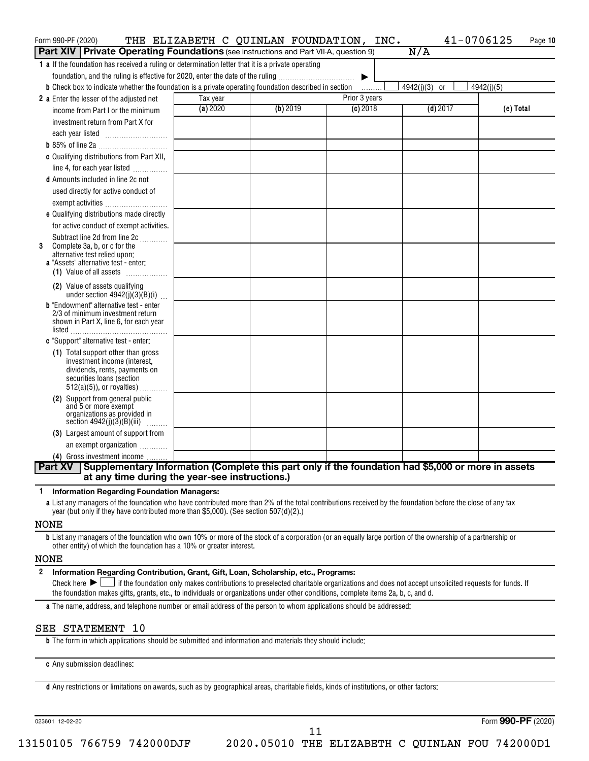| Form 990-PF (2020)                                                                                                   |          | THE ELIZABETH C QUINLAN FOUNDATION, | INC.          | 41-0706125                  | Page 10    |
|----------------------------------------------------------------------------------------------------------------------|----------|-------------------------------------|---------------|-----------------------------|------------|
| <b>Part XIV   Private Operating Foundations</b> (see instructions and Part VII-A, question 9)                        |          |                                     |               | N/A                         |            |
| 1 a If the foundation has received a ruling or determination letter that it is a private operating                   |          |                                     |               |                             |            |
| foundation, and the ruling is effective for 2020, enter the date of the ruling                                       |          |                                     | ▶             |                             |            |
| <b>b</b> Check box to indicate whether the foundation is a private operating foundation described in section         |          |                                     | .             | 4942(j)(3)<br><sub>or</sub> | 4942(j)(5) |
| 2 a Enter the lesser of the adjusted net                                                                             | Tax year |                                     | Prior 3 years |                             |            |
| income from Part I or the minimum                                                                                    | (a) 2020 | (b) 2019                            | $(c)$ 2018    | $(d)$ 2017                  | (e) Total  |
| investment return from Part X for                                                                                    |          |                                     |               |                             |            |
| each year listed                                                                                                     |          |                                     |               |                             |            |
|                                                                                                                      |          |                                     |               |                             |            |
| c Qualifying distributions from Part XII,                                                                            |          |                                     |               |                             |            |
| line 4, for each year listed                                                                                         |          |                                     |               |                             |            |
| <b>d</b> Amounts included in line 2c not                                                                             |          |                                     |               |                             |            |
| used directly for active conduct of                                                                                  |          |                                     |               |                             |            |
| exempt activities                                                                                                    |          |                                     |               |                             |            |
| e Qualifying distributions made directly                                                                             |          |                                     |               |                             |            |
| for active conduct of exempt activities.                                                                             |          |                                     |               |                             |            |
| Subtract line 2d from line 2c                                                                                        |          |                                     |               |                             |            |
| Complete 3a, b, or c for the<br>3                                                                                    |          |                                     |               |                             |            |
| alternative test relied upon:<br>a "Assets" alternative test - enter:                                                |          |                                     |               |                             |            |
| (1) Value of all assets                                                                                              |          |                                     |               |                             |            |
| (2) Value of assets qualifying                                                                                       |          |                                     |               |                             |            |
| under section $4942(j)(3)(B)(i)$                                                                                     |          |                                     |               |                             |            |
| <b>b</b> "Endowment" alternative test - enter                                                                        |          |                                     |               |                             |            |
| 2/3 of minimum investment return<br>shown in Part X, line 6, for each year                                           |          |                                     |               |                             |            |
|                                                                                                                      |          |                                     |               |                             |            |
| c "Support" alternative test - enter:                                                                                |          |                                     |               |                             |            |
| (1) Total support other than gross                                                                                   |          |                                     |               |                             |            |
| investment income (interest,                                                                                         |          |                                     |               |                             |            |
| dividends, rents, payments on<br>securities loans (section                                                           |          |                                     |               |                             |            |
| $512(a)(5)$ , or royalties)                                                                                          |          |                                     |               |                             |            |
| (2) Support from general public                                                                                      |          |                                     |               |                             |            |
| and 5 or more exempt<br>organizations as provided in                                                                 |          |                                     |               |                             |            |
| section $4942(j)(3)(B)(iii)$<br>.                                                                                    |          |                                     |               |                             |            |
| (3) Largest amount of support from                                                                                   |          |                                     |               |                             |            |
| an exempt organization                                                                                               |          |                                     |               |                             |            |
| (4) Gross investment income                                                                                          |          |                                     |               |                             |            |
| Supplementary Information (Complete this part only if the foundation had \$5,000 or more in assets<br><b>Part XV</b> |          |                                     |               |                             |            |
| at any time during the year-see instructions.)                                                                       |          |                                     |               |                             |            |

**1 Information Regarding Foundation Managers:**

**a** List any managers of the foundation who have contributed more than 2% of the total contributions received by the foundation before the close of any tax year (but only if they have contributed more than \$5,000). (See section 507(d)(2).)

#### NONE

**b** List any managers of the foundation who own 10% or more of the stock of a corporation (or an equally large portion of the ownership of a partnership or other entity) of which the foundation has a 10% or greater interest.

#### NONE

| 2 Information Regarding Contribution, Grant, Gift, Loan, Scholarship, etc., Programs: |  |
|---------------------------------------------------------------------------------------|--|
|                                                                                       |  |

Final check here  $\sum_{n=1}^{\infty}$  if the foundation only makes contributions to preselected charitable organizations and does not accept unsolicited requests for funds. If the foundation makes gifts, grants, etc., to individuals or organizations under other conditions, complete items 2a, b, c, and d.

**a** The name, address, and telephone number or email address of the person to whom applications should be addressed:

#### SEE STATEMENT 10

**b** The form in which applications should be submitted and information and materials they should include:

**c** Any submission deadlines:

**d** Any restrictions or limitations on awards, such as by geographical areas, charitable fields, kinds of institutions, or other factors:

023601 12-02-20

Form (2020) **990-PF**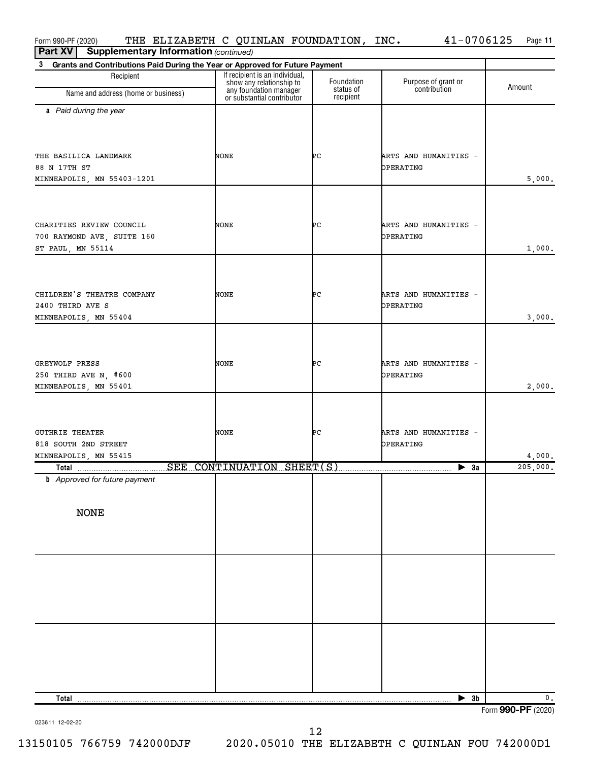| Form 990-PF (2020)                                                                          | THE ELIZABETH C QUINLAN FOUNDATION, INC.                                             |                                      | $41 - 0706125$                                                                                                                                                                                                                                                                                                                                                                                                                                                                  | Page 11  |
|---------------------------------------------------------------------------------------------|--------------------------------------------------------------------------------------|--------------------------------------|---------------------------------------------------------------------------------------------------------------------------------------------------------------------------------------------------------------------------------------------------------------------------------------------------------------------------------------------------------------------------------------------------------------------------------------------------------------------------------|----------|
| <b>Supplementary Information (continued)</b><br><b>Part XV</b>                              |                                                                                      |                                      |                                                                                                                                                                                                                                                                                                                                                                                                                                                                                 |          |
| Grants and Contributions Paid During the Year or Approved for Future Payment<br>$3^{\circ}$ |                                                                                      |                                      |                                                                                                                                                                                                                                                                                                                                                                                                                                                                                 |          |
| Recipient<br>Name and address (home or business)                                            | If recipient is an individual,<br>show any relationship to<br>any foundation manager | Foundation<br>status of<br>recipient | Purpose of grant or<br>contribution                                                                                                                                                                                                                                                                                                                                                                                                                                             | Amount   |
|                                                                                             | or substantial contributor                                                           |                                      |                                                                                                                                                                                                                                                                                                                                                                                                                                                                                 |          |
| a Paid during the year                                                                      |                                                                                      |                                      |                                                                                                                                                                                                                                                                                                                                                                                                                                                                                 |          |
| THE BASILICA LANDMARK                                                                       | NONE                                                                                 | ÞС                                   | ARTS AND HUMANITIES -                                                                                                                                                                                                                                                                                                                                                                                                                                                           |          |
| 88 N 17TH ST                                                                                |                                                                                      |                                      | OPERATING                                                                                                                                                                                                                                                                                                                                                                                                                                                                       |          |
| MINNEAPOLIS, MN 55403-1201                                                                  |                                                                                      |                                      |                                                                                                                                                                                                                                                                                                                                                                                                                                                                                 | 5,000.   |
| CHARITIES REVIEW COUNCIL<br>700 RAYMOND AVE, SUITE 160<br>ST PAUL, MN 55114                 | NONE                                                                                 | ÞС                                   | ARTS AND HUMANITIES -<br>OPERATING                                                                                                                                                                                                                                                                                                                                                                                                                                              | 1,000.   |
|                                                                                             |                                                                                      |                                      |                                                                                                                                                                                                                                                                                                                                                                                                                                                                                 |          |
| CHILDREN'S THEATRE COMPANY<br>2400 THIRD AVE S<br>MINNEAPOLIS, MN 55404                     | NONE                                                                                 | ÞС                                   | ARTS AND HUMANITIES -<br>OPERATING                                                                                                                                                                                                                                                                                                                                                                                                                                              | 3,000.   |
|                                                                                             |                                                                                      |                                      |                                                                                                                                                                                                                                                                                                                                                                                                                                                                                 |          |
| GREYWOLF PRESS<br>250 THIRD AVE N, #600<br>MINNEAPOLIS, MN 55401                            | NONE                                                                                 | ÞС                                   | ARTS AND HUMANITIES -<br>OPERATING                                                                                                                                                                                                                                                                                                                                                                                                                                              | 2,000.   |
|                                                                                             |                                                                                      |                                      |                                                                                                                                                                                                                                                                                                                                                                                                                                                                                 |          |
| <b>GUTHRIE THEATER</b><br>818 SOUTH 2ND STREET<br>MINNEAPOLIS, MN 55415                     | NONE                                                                                 | ÞС                                   | ARTS AND HUMANITIES -<br>OPERATING                                                                                                                                                                                                                                                                                                                                                                                                                                              | 4,000.   |
|                                                                                             |                                                                                      |                                      | $\overline{\phantom{1}}$ $\overline{\phantom{1}}$ $\overline{\phantom{1}}$ $\overline{\phantom{1}}$ $\overline{\phantom{1}}$ $\overline{\phantom{1}}$ $\overline{\phantom{1}}$ $\overline{\phantom{1}}$ $\overline{\phantom{1}}$ $\overline{\phantom{1}}$ $\overline{\phantom{1}}$ $\overline{\phantom{1}}$ $\overline{\phantom{1}}$ $\overline{\phantom{1}}$ $\overline{\phantom{1}}$ $\overline{\phantom{1}}$ $\overline{\phantom{1}}$ $\overline{\phantom{1}}$ $\overline{\$ | 205,000. |
| <b>b</b> Approved for future payment<br><b>NONE</b>                                         |                                                                                      |                                      |                                                                                                                                                                                                                                                                                                                                                                                                                                                                                 |          |
|                                                                                             |                                                                                      |                                      |                                                                                                                                                                                                                                                                                                                                                                                                                                                                                 |          |
|                                                                                             |                                                                                      |                                      |                                                                                                                                                                                                                                                                                                                                                                                                                                                                                 |          |
| Total                                                                                       |                                                                                      |                                      | $\blacktriangleright$ 3b                                                                                                                                                                                                                                                                                                                                                                                                                                                        | 0.       |

023611 12-02-20

Form (2020) **990-PF**

13150105 766759 742000DJF 2020.05010 THE ELIZABETH C QUINLAN FOU 742000D1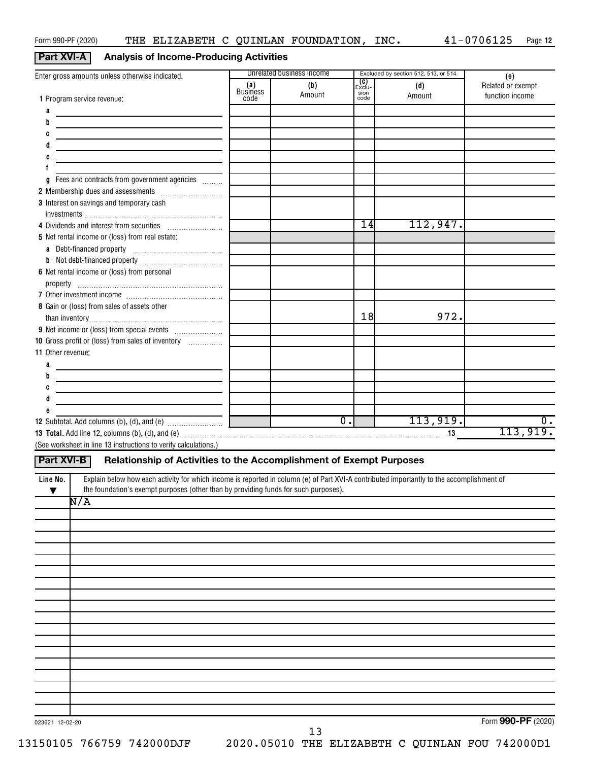## **Part XVI-A Analysis of Income-Producing Activities**

| Enter gross amounts unless otherwise indicated.                                                                                                       |                                | Unrelated business income |                                        | Excluded by section 512, 513, or 514 | (e)                                  |
|-------------------------------------------------------------------------------------------------------------------------------------------------------|--------------------------------|---------------------------|----------------------------------------|--------------------------------------|--------------------------------------|
| 1 Program service revenue:                                                                                                                            | (a)<br><b>Business</b><br>code | (b)<br>Amount             | _ <b>(C)</b><br>Exclu-<br>sion<br>code | (d)<br>Amount                        | Related or exempt<br>function income |
| а                                                                                                                                                     |                                |                           |                                        |                                      |                                      |
| b                                                                                                                                                     |                                |                           |                                        |                                      |                                      |
| c                                                                                                                                                     |                                |                           |                                        |                                      |                                      |
|                                                                                                                                                       |                                |                           |                                        |                                      |                                      |
| e                                                                                                                                                     |                                |                           |                                        |                                      |                                      |
|                                                                                                                                                       |                                |                           |                                        |                                      |                                      |
| Fees and contracts from government agencies<br>a                                                                                                      |                                |                           |                                        |                                      |                                      |
|                                                                                                                                                       |                                |                           |                                        |                                      |                                      |
| 3 Interest on savings and temporary cash                                                                                                              |                                |                           |                                        |                                      |                                      |
|                                                                                                                                                       |                                |                           |                                        |                                      |                                      |
| 4 Dividends and interest from securities                                                                                                              |                                |                           | 14                                     | 112,947.                             |                                      |
| 5 Net rental income or (loss) from real estate:                                                                                                       |                                |                           |                                        |                                      |                                      |
|                                                                                                                                                       |                                |                           |                                        |                                      |                                      |
|                                                                                                                                                       |                                |                           |                                        |                                      |                                      |
| 6 Net rental income or (loss) from personal                                                                                                           |                                |                           |                                        |                                      |                                      |
|                                                                                                                                                       |                                |                           |                                        |                                      |                                      |
| 8 Gain or (loss) from sales of assets other                                                                                                           |                                |                           |                                        |                                      |                                      |
|                                                                                                                                                       |                                |                           | 18                                     | 972.                                 |                                      |
|                                                                                                                                                       |                                |                           |                                        |                                      |                                      |
| 10 Gross profit or (loss) from sales of inventory                                                                                                     |                                |                           |                                        |                                      |                                      |
| 11 Other revenue:                                                                                                                                     |                                |                           |                                        |                                      |                                      |
| а                                                                                                                                                     |                                |                           |                                        |                                      |                                      |
| b                                                                                                                                                     |                                |                           |                                        |                                      |                                      |
| c                                                                                                                                                     |                                |                           |                                        |                                      |                                      |
| d                                                                                                                                                     |                                |                           |                                        |                                      |                                      |
|                                                                                                                                                       |                                |                           |                                        |                                      |                                      |
|                                                                                                                                                       |                                | $\overline{0}$ .          |                                        | 113,919.                             | 0.                                   |
|                                                                                                                                                       |                                |                           |                                        |                                      | 113,919.                             |
| (See worksheet in line 13 instructions to verify calculations.)                                                                                       |                                |                           |                                        |                                      |                                      |
| <b>Part XVI-B</b><br>Relationship of Activities to the Accomplishment of Exempt Purposes                                                              |                                |                           |                                        |                                      |                                      |
| Explain below how each activity for which income is reported in column (e) of Part XVI-A contributed importantly to the accomplishment of<br>Line No. |                                |                           |                                        |                                      |                                      |
| the foundation's exempt purposes (other than by providing funds for such purposes).<br>▼                                                              |                                |                           |                                        |                                      |                                      |
| N/A                                                                                                                                                   |                                |                           |                                        |                                      |                                      |
|                                                                                                                                                       |                                |                           |                                        |                                      |                                      |
|                                                                                                                                                       |                                |                           |                                        |                                      |                                      |
|                                                                                                                                                       |                                |                           |                                        |                                      |                                      |
|                                                                                                                                                       |                                |                           |                                        |                                      |                                      |
|                                                                                                                                                       |                                |                           |                                        |                                      |                                      |
|                                                                                                                                                       |                                |                           |                                        |                                      |                                      |
|                                                                                                                                                       |                                |                           |                                        |                                      |                                      |
|                                                                                                                                                       |                                |                           |                                        |                                      |                                      |
|                                                                                                                                                       |                                |                           |                                        |                                      |                                      |
|                                                                                                                                                       |                                |                           |                                        |                                      |                                      |
|                                                                                                                                                       |                                |                           |                                        |                                      |                                      |
|                                                                                                                                                       |                                |                           |                                        |                                      |                                      |
|                                                                                                                                                       |                                |                           |                                        |                                      |                                      |
|                                                                                                                                                       |                                |                           |                                        |                                      |                                      |
|                                                                                                                                                       |                                |                           |                                        |                                      |                                      |
|                                                                                                                                                       |                                |                           |                                        |                                      |                                      |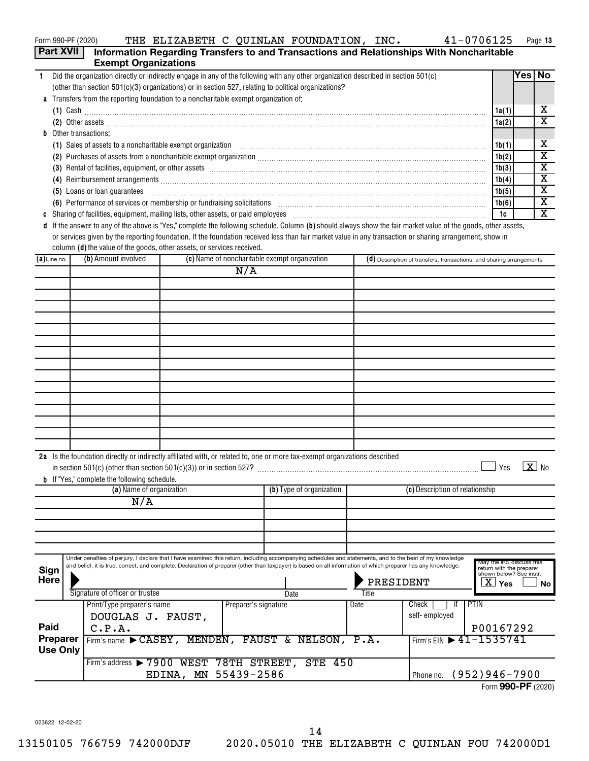| Form 990-PF (2020) |  |  | THE ELIZABETH C QUINLAN FOUNDATION, | INC. | 41-0706125 | Page |
|--------------------|--|--|-------------------------------------|------|------------|------|
|                    |  |  |                                     |      |            |      |

| Form 990-PF (2020) |                                                  |                                                                                                                                                                                                                                                                                                                                       | THE ELIZABETH C QUINLAN FOUNDATION, INC.                                                 |                      |                                               |      |               |                                                                      | 41-0706125                                          |                | Page 13                    |
|--------------------|--------------------------------------------------|---------------------------------------------------------------------------------------------------------------------------------------------------------------------------------------------------------------------------------------------------------------------------------------------------------------------------------------|------------------------------------------------------------------------------------------|----------------------|-----------------------------------------------|------|---------------|----------------------------------------------------------------------|-----------------------------------------------------|----------------|----------------------------|
| <b>Part XVII</b>   |                                                  | <b>Exempt Organizations</b>                                                                                                                                                                                                                                                                                                           | Information Regarding Transfers to and Transactions and Relationships With Noncharitable |                      |                                               |      |               |                                                                      |                                                     |                |                            |
| $\mathbf{1}$       |                                                  | Did the organization directly or indirectly engage in any of the following with any other organization described in section 501(c)                                                                                                                                                                                                    |                                                                                          |                      |                                               |      |               |                                                                      |                                                     | Yes No         |                            |
|                    |                                                  | (other than section $501(c)(3)$ organizations) or in section 527, relating to political organizations?                                                                                                                                                                                                                                |                                                                                          |                      |                                               |      |               |                                                                      |                                                     |                |                            |
|                    |                                                  | a Transfers from the reporting foundation to a noncharitable exempt organization of:                                                                                                                                                                                                                                                  |                                                                                          |                      |                                               |      |               |                                                                      |                                                     |                |                            |
|                    |                                                  | $(1)$ Cash $\ldots$ $\ldots$ $\ldots$ $\ldots$ $\ldots$ $\ldots$ $\ldots$ $\ldots$ $\ldots$ $\ldots$ $\ldots$ $\ldots$ $\ldots$ $\ldots$ $\ldots$ $\ldots$ $\ldots$ $\ldots$ $\ldots$ $\ldots$ $\ldots$ $\ldots$ $\ldots$ $\ldots$ $\ldots$ $\ldots$ $\ldots$ $\ldots$ $\ldots$ $\ldots$ $\ldots$ $\ldots$ $\ldots$ $\ldots$ $\ldots$ |                                                                                          |                      |                                               |      |               |                                                                      | 1a(1)                                               |                | х                          |
|                    |                                                  |                                                                                                                                                                                                                                                                                                                                       |                                                                                          |                      |                                               |      |               |                                                                      | 1a(2)                                               |                | $\overline{\textbf{x}}$    |
|                    |                                                  | <b>b</b> Other transactions:                                                                                                                                                                                                                                                                                                          |                                                                                          |                      |                                               |      |               |                                                                      |                                                     |                |                            |
|                    |                                                  | (1) Sales of assets to a noncharitable exempt organization material content and content and set of assets to a noncharitable exempt organization material content and a set of the set of the set of the set of the set of the                                                                                                        |                                                                                          |                      |                                               |      |               |                                                                      | 1b(1)                                               |                | Χ<br>$\overline{\text{x}}$ |
|                    |                                                  | (2) Purchases of assets from a noncharitable exempt organization [11] match material material material material material material material material material material material material material material material material ma                                                                                                        |                                                                                          |                      |                                               |      |               |                                                                      | 1b(2)                                               |                | $\overline{\textbf{x}}$    |
|                    |                                                  | (3) Rental of facilities, equipment, or other assets [111] match match match match as a set of the assets [11] match match match match match match match match match match match match match match match match match match mat                                                                                                        |                                                                                          |                      |                                               |      |               |                                                                      | 1b(3)<br>1b(4)                                      |                | $\overline{\textbf{x}}$    |
|                    |                                                  | (5) Loans or loan guarantees <b>construction and all any construction</b> construction and all any construction of the state of the state of the state of the state of the state of the state of the state of the state of the stat                                                                                                   |                                                                                          |                      |                                               |      |               |                                                                      | 1b(5)                                               |                | $\overline{\textbf{x}}$    |
|                    |                                                  | (6) Performance of services or membership or fundraising solicitations [11] manufactures and performance of services or membership or fundraising solicitations [11] manufactures and performance of services or membership or                                                                                                        |                                                                                          |                      |                                               |      |               |                                                                      | 1b(6)                                               |                | $\overline{\textbf{x}}$    |
|                    |                                                  |                                                                                                                                                                                                                                                                                                                                       |                                                                                          |                      |                                               |      |               |                                                                      | 1c                                                  |                | $\overline{\texttt{x}}$    |
|                    |                                                  | d If the answer to any of the above is "Yes," complete the following schedule. Column (b) should always show the fair market value of the goods, other assets,                                                                                                                                                                        |                                                                                          |                      |                                               |      |               |                                                                      |                                                     |                |                            |
|                    |                                                  | or services given by the reporting foundation. If the foundation received less than fair market value in any transaction or sharing arrangement, show in                                                                                                                                                                              |                                                                                          |                      |                                               |      |               |                                                                      |                                                     |                |                            |
|                    |                                                  | column (d) the value of the goods, other assets, or services received.                                                                                                                                                                                                                                                                |                                                                                          |                      |                                               |      |               |                                                                      |                                                     |                |                            |
| $(a)$ Line no.     |                                                  | (b) Amount involved                                                                                                                                                                                                                                                                                                                   |                                                                                          |                      | (c) Name of noncharitable exempt organization |      |               | (d) Description of transfers, transactions, and sharing arrangements |                                                     |                |                            |
|                    |                                                  |                                                                                                                                                                                                                                                                                                                                       |                                                                                          | N/A                  |                                               |      |               |                                                                      |                                                     |                |                            |
|                    |                                                  |                                                                                                                                                                                                                                                                                                                                       |                                                                                          |                      |                                               |      |               |                                                                      |                                                     |                |                            |
|                    |                                                  |                                                                                                                                                                                                                                                                                                                                       |                                                                                          |                      |                                               |      |               |                                                                      |                                                     |                |                            |
|                    |                                                  |                                                                                                                                                                                                                                                                                                                                       |                                                                                          |                      |                                               |      |               |                                                                      |                                                     |                |                            |
|                    |                                                  |                                                                                                                                                                                                                                                                                                                                       |                                                                                          |                      |                                               |      |               |                                                                      |                                                     |                |                            |
|                    |                                                  |                                                                                                                                                                                                                                                                                                                                       |                                                                                          |                      |                                               |      |               |                                                                      |                                                     |                |                            |
|                    |                                                  |                                                                                                                                                                                                                                                                                                                                       |                                                                                          |                      |                                               |      |               |                                                                      |                                                     |                |                            |
|                    |                                                  |                                                                                                                                                                                                                                                                                                                                       |                                                                                          |                      |                                               |      |               |                                                                      |                                                     |                |                            |
|                    |                                                  |                                                                                                                                                                                                                                                                                                                                       |                                                                                          |                      |                                               |      |               |                                                                      |                                                     |                |                            |
|                    |                                                  |                                                                                                                                                                                                                                                                                                                                       |                                                                                          |                      |                                               |      |               |                                                                      |                                                     |                |                            |
|                    |                                                  |                                                                                                                                                                                                                                                                                                                                       |                                                                                          |                      |                                               |      |               |                                                                      |                                                     |                |                            |
|                    |                                                  |                                                                                                                                                                                                                                                                                                                                       |                                                                                          |                      |                                               |      |               |                                                                      |                                                     |                |                            |
|                    |                                                  |                                                                                                                                                                                                                                                                                                                                       |                                                                                          |                      |                                               |      |               |                                                                      |                                                     |                |                            |
|                    |                                                  |                                                                                                                                                                                                                                                                                                                                       |                                                                                          |                      |                                               |      |               |                                                                      |                                                     |                |                            |
|                    |                                                  |                                                                                                                                                                                                                                                                                                                                       |                                                                                          |                      |                                               |      |               |                                                                      |                                                     |                |                            |
|                    |                                                  | 2a Is the foundation directly or indirectly affiliated with, or related to, one or more tax-exempt organizations described                                                                                                                                                                                                            |                                                                                          |                      |                                               |      |               |                                                                      |                                                     | $\overline{z}$ |                            |
|                    |                                                  | in section $501(c)$ (other than section $501(c)(3)$ ) or in section 527?                                                                                                                                                                                                                                                              |                                                                                          |                      |                                               |      |               |                                                                      | Yes                                                 |                | $X$ No                     |
|                    |                                                  | <b>b</b> If "Yes," complete the following schedule.                                                                                                                                                                                                                                                                                   |                                                                                          |                      |                                               |      |               |                                                                      |                                                     |                |                            |
|                    |                                                  | (a) Name of organization<br>N/A                                                                                                                                                                                                                                                                                                       |                                                                                          |                      | (b) Type of organization                      |      |               | (c) Description of relationship                                      |                                                     |                |                            |
|                    |                                                  |                                                                                                                                                                                                                                                                                                                                       |                                                                                          |                      |                                               |      |               |                                                                      |                                                     |                |                            |
|                    |                                                  |                                                                                                                                                                                                                                                                                                                                       |                                                                                          |                      |                                               |      |               |                                                                      |                                                     |                |                            |
|                    |                                                  |                                                                                                                                                                                                                                                                                                                                       |                                                                                          |                      |                                               |      |               |                                                                      |                                                     |                |                            |
|                    |                                                  |                                                                                                                                                                                                                                                                                                                                       |                                                                                          |                      |                                               |      |               |                                                                      |                                                     |                |                            |
|                    |                                                  | Under penalties of perjury, I declare that I have examined this return, including accompanying schedules and statements, and to the best of my knowledge                                                                                                                                                                              |                                                                                          |                      |                                               |      |               |                                                                      | May the IRS discuss this                            |                |                            |
| <b>Sign</b>        |                                                  | and belief, it is true, correct, and complete. Declaration of preparer (other than taxpayer) is based on all information of which preparer has any knowledge.                                                                                                                                                                         |                                                                                          |                      |                                               |      |               |                                                                      | return with the preparer<br>shown below? See instr. |                |                            |
| Here               |                                                  |                                                                                                                                                                                                                                                                                                                                       |                                                                                          |                      |                                               |      | PRESIDENT     |                                                                      | $\overline{\text{X}}$ Yes                           |                | No                         |
|                    |                                                  | Signature of officer or trustee                                                                                                                                                                                                                                                                                                       |                                                                                          |                      | Date                                          |      | Title         |                                                                      |                                                     |                |                            |
|                    |                                                  | Print/Type preparer's name                                                                                                                                                                                                                                                                                                            |                                                                                          | Preparer's signature |                                               | Date |               | Check<br>-it                                                         | PTIN                                                |                |                            |
| DOUGLAS J. FAUST,  |                                                  |                                                                                                                                                                                                                                                                                                                                       |                                                                                          |                      |                                               |      | self-employed |                                                                      |                                                     |                |                            |
| Paid               |                                                  | C.P.A.                                                                                                                                                                                                                                                                                                                                |                                                                                          |                      |                                               |      |               |                                                                      | P00167292                                           |                |                            |
| Preparer           |                                                  |                                                                                                                                                                                                                                                                                                                                       | Firm's name CASEY, MENDEN, FAUST & NELSON, P.A.                                          |                      |                                               |      |               | Firm's EIN $\triangleright$ 41-1535741                               |                                                     |                |                            |
| <b>Use Only</b>    |                                                  |                                                                                                                                                                                                                                                                                                                                       | Firm's address > 7900 WEST 78TH STREET, STE 450                                          |                      |                                               |      |               |                                                                      |                                                     |                |                            |
|                    |                                                  |                                                                                                                                                                                                                                                                                                                                       |                                                                                          |                      |                                               |      |               |                                                                      |                                                     |                |                            |
|                    | EDINA, MN 55439-2586<br>Phone no. (952) 946-7900 |                                                                                                                                                                                                                                                                                                                                       |                                                                                          |                      |                                               |      |               |                                                                      |                                                     |                |                            |

| Form 990-PF (2020) |  |
|--------------------|--|

023622 12-02-20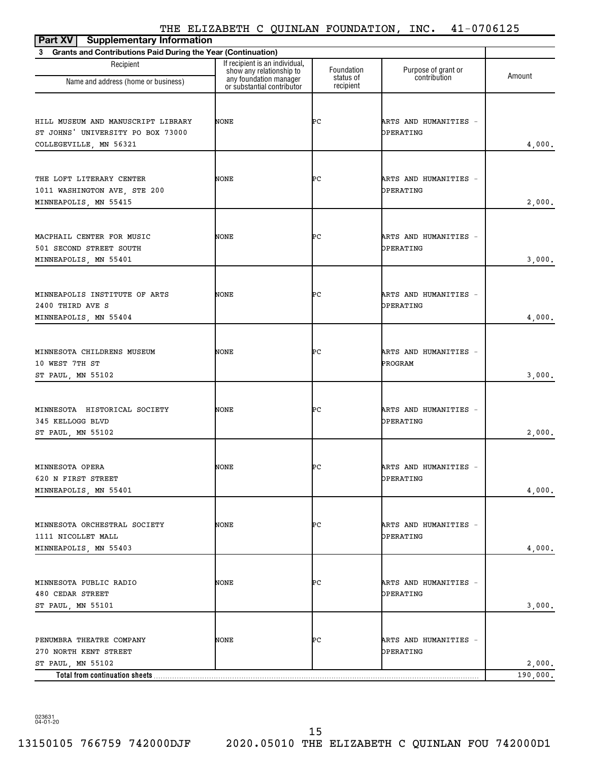| <b>Supplementary Information</b><br>Part XV                                                       |                                                                                      |                         |                                     |          |
|---------------------------------------------------------------------------------------------------|--------------------------------------------------------------------------------------|-------------------------|-------------------------------------|----------|
| 3 Grants and Contributions Paid During the Year (Continuation)                                    |                                                                                      |                         |                                     |          |
| Recipient                                                                                         | If recipient is an individual,<br>show any relationship to<br>any foundation manager | Foundation<br>status of | Purpose of grant or<br>contribution | Amount   |
| Name and address (home or business)                                                               | or substantial contributor                                                           | recipient               |                                     |          |
| HILL MUSEUM AND MANUSCRIPT LIBRARY<br>ST JOHNS' UNIVERSITY PO BOX 73000<br>COLLEGEVILLE, MN 56321 | NONE                                                                                 | ÞС                      | ARTS AND HUMANITIES -<br>OPERATING  | 4,000.   |
| THE LOFT LITERARY CENTER<br>1011 WASHINGTON AVE, STE 200<br>MINNEAPOLIS, MN 55415                 | NONE                                                                                 | ÞС                      | ARTS AND HUMANITIES -<br>OPERATING  | 2,000.   |
| MACPHAIL CENTER FOR MUSIC<br>501 SECOND STREET SOUTH<br>MINNEAPOLIS, MN 55401                     | NONE                                                                                 | ÞС                      | ARTS AND HUMANITIES -<br>OPERATING  | 3,000.   |
| MINNEAPOLIS INSTITUTE OF ARTS<br>2400 THIRD AVE S<br>MINNEAPOLIS, MN 55404                        | NONE                                                                                 | ÞС                      | ARTS AND HUMANITIES -<br>OPERATING  | 4,000.   |
| MINNESOTA CHILDRENS MUSEUM<br>10 WEST 7TH ST<br>ST PAUL, MN 55102                                 | NONE                                                                                 | ÞС                      | ARTS AND HUMANITIES -<br>PROGRAM    | 3,000.   |
| MINNESOTA HISTORICAL SOCIETY<br>345 KELLOGG BLVD<br>ST PAUL, MN 55102                             | NONE                                                                                 | ÞС                      | ARTS AND HUMANITIES -<br>OPERATING  | 2,000.   |
| MINNESOTA OPERA<br>620 N FIRST STREET<br>MINNEAPOLIS, MN 55401                                    | NONE                                                                                 | ÞС                      | ARTS AND HUMANITIES<br>OPERATING    | 4,000.   |
| MINNESOTA ORCHESTRAL SOCIETY<br>1111 NICOLLET MALL<br>MINNEAPOLIS, MN 55403                       | NONE                                                                                 | ÞС                      | ARTS AND HUMANITIES -<br>OPERATING  | 4,000.   |
| MINNESOTA PUBLIC RADIO<br>480 CEDAR STREET<br>ST PAUL, MN 55101                                   | NONE                                                                                 | ÞС                      | ARTS AND HUMANITIES -<br>OPERATING  | 3,000.   |
| PENUMBRA THEATRE COMPANY<br>270 NORTH KENT STREET<br>ST PAUL, MN 55102                            | NONE                                                                                 | ÞС                      | ARTS AND HUMANITIES -<br>OPERATING  | 2,000.   |
| Total from continuation sheets                                                                    |                                                                                      |                         |                                     | 190,000. |

023631 04-01-20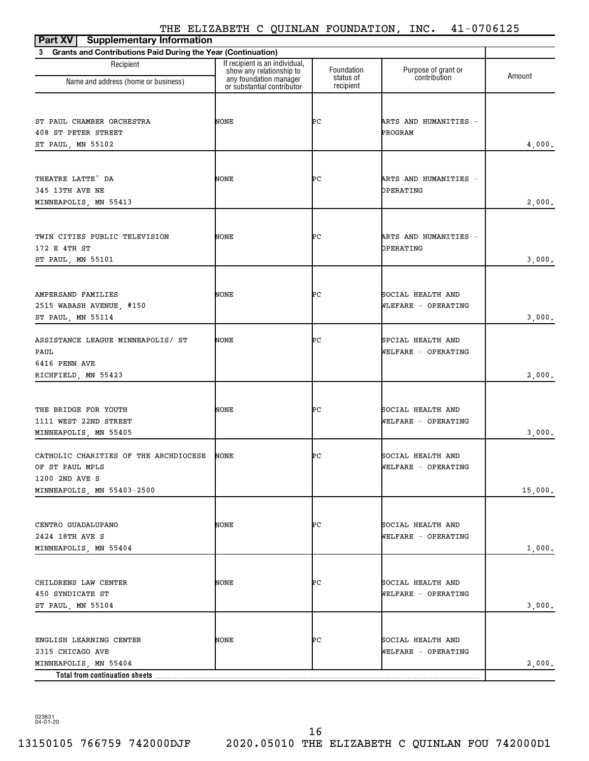| <b>Supplementary Information</b><br>Part XV                                                              |                                                                                      |                         |                                          |         |
|----------------------------------------------------------------------------------------------------------|--------------------------------------------------------------------------------------|-------------------------|------------------------------------------|---------|
| 3 Grants and Contributions Paid During the Year (Continuation)                                           |                                                                                      |                         |                                          |         |
| Recipient<br>Name and address (home or business)                                                         | If recipient is an individual,<br>show any relationship to<br>any foundation manager | Foundation<br>status of | Purpose of grant or<br>contribution      | Amount  |
|                                                                                                          | or substantial contributor                                                           | recipient               |                                          |         |
| ST PAUL CHAMBER ORCHESTRA<br>408 ST PETER STREET<br>ST PAUL, MN 55102                                    | NONE                                                                                 | ÞС                      | ARTS AND HUMANITIES -<br>PROGRAM         | 4,000.  |
| THEATRE LATTE' DA<br>345 13TH AVE NE<br>MINNEAPOLIS, MN 55413                                            | NONE                                                                                 | ÞС                      | ARTS AND HUMANITIES -<br>OPERATING       | 2,000.  |
| TWIN CITIES PUBLIC TELEVISION<br>172 E 4TH ST<br>ST PAUL, MN 55101                                       | NONE                                                                                 | ÞС                      | ARTS AND HUMANITIES -<br>OPERATING       | 3,000.  |
| AMPERSAND FAMILIES<br>2515 WABASH AVENUE, #150<br>ST PAUL, MN 55114                                      | NONE                                                                                 | ÞС                      | SOCIAL HEALTH AND<br>WLEFARE - OPERATING | 3,000.  |
| ASSISTANCE LEAGUE MINNEAPOLIS/ ST<br>PAUL<br>6416 PENN AVE<br>RICHFIELD, MN 55423                        | NONE                                                                                 | ÞС                      | SPCIAL HEALTH AND<br>WELFARE - OPERATING | 2,000.  |
| THE BRIDGE FOR YOUTH<br>1111 WEST 22ND STREET<br>MINNEAPOLIS, MN 55405                                   | NONE                                                                                 | ÞС                      | SOCIAL HEALTH AND<br>WELFARE - OPERATING | 3,000.  |
| CATHOLIC CHARITIES OF THE ARCHDIOCESE<br>OF ST PAUL MPLS<br>1200 2ND AVE S<br>MINNEAPOLIS, MN 55403-2500 | NONE                                                                                 | ÞС                      | SOCIAL HEALTH AND<br>WELFARE - OPERATING | 15,000. |
| CENTRO GUADALUPANO<br>2424 18TH AVE S<br>MINNEAPOLIS, MN 55404                                           | NONE                                                                                 | ÞС                      | SOCIAL HEALTH AND<br>WELFARE - OPERATING | 1,000.  |
| CHILDRENS LAW CENTER<br>450 SYNDICATE ST<br>ST PAUL, MN 55104                                            | NONE                                                                                 | ÞС                      | SOCIAL HEALTH AND<br>WELFARE - OPERATING | 3,000.  |
| ENGLISH LEARNING CENTER<br>2315 CHICAGO AVE<br>MINNEAPOLIS, MN 55404<br>Total from continuation sheets.  | NONE                                                                                 | ÞС                      | SOCIAL HEALTH AND<br>WELFARE - OPERATING | 2,000.  |

023631 04-01-20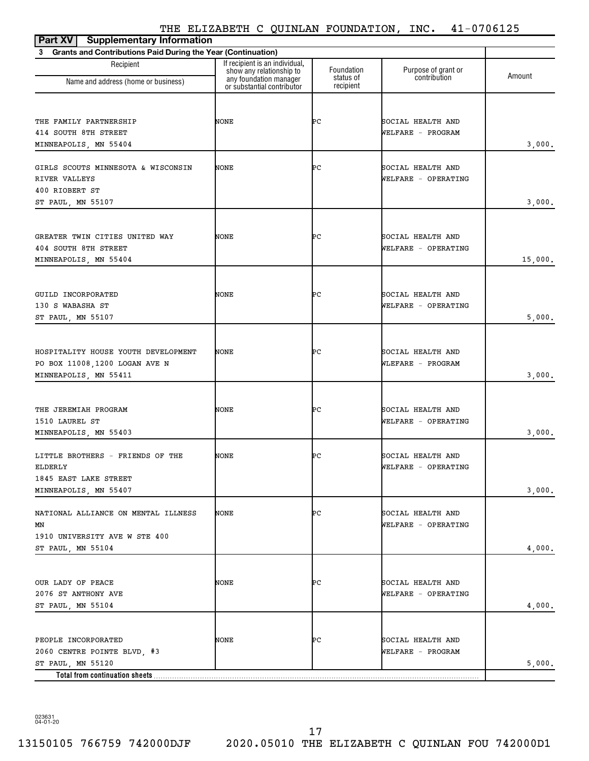| <b>Supplementary Information</b><br>Part XV                    |                                                                                      |                         |                                     |         |
|----------------------------------------------------------------|--------------------------------------------------------------------------------------|-------------------------|-------------------------------------|---------|
| 3 Grants and Contributions Paid During the Year (Continuation) |                                                                                      |                         |                                     |         |
| Recipient                                                      | If recipient is an individual,<br>show any relationship to<br>any foundation manager | Foundation<br>status of | Purpose of grant or<br>contribution | Amount  |
| Name and address (home or business)                            | or substantial contributor                                                           | recipient               |                                     |         |
|                                                                |                                                                                      |                         |                                     |         |
| THE FAMILY PARTNERSHIP                                         | NONE                                                                                 | ÞС                      | SOCIAL HEALTH AND                   |         |
| 414 SOUTH 8TH STREET                                           |                                                                                      |                         | WELFARE - PROGRAM                   |         |
| MINNEAPOLIS, MN 55404                                          |                                                                                      |                         |                                     | 3,000.  |
| GIRLS SCOUTS MINNESOTA & WISCONSIN                             | NONE                                                                                 | ÞС                      | SOCIAL HEALTH AND                   |         |
| RIVER VALLEYS                                                  |                                                                                      |                         | WELFARE - OPERATING                 |         |
| 400 RIOBERT ST                                                 |                                                                                      |                         |                                     |         |
| ST PAUL, MN 55107                                              |                                                                                      |                         |                                     | 3,000.  |
|                                                                |                                                                                      |                         |                                     |         |
|                                                                |                                                                                      |                         |                                     |         |
| GREATER TWIN CITIES UNITED WAY                                 | NONE                                                                                 | ÞС                      | SOCIAL HEALTH AND                   |         |
| 404 SOUTH 8TH STREET                                           |                                                                                      |                         | WELFARE - OPERATING                 |         |
| MINNEAPOLIS, MN 55404                                          |                                                                                      |                         |                                     | 15,000. |
|                                                                |                                                                                      |                         |                                     |         |
| GUILD INCORPORATED                                             | NONE                                                                                 | ÞС                      | SOCIAL HEALTH AND                   |         |
| 130 S WABASHA ST                                               |                                                                                      |                         | WELFARE - OPERATING                 |         |
| ST PAUL, MN 55107                                              |                                                                                      |                         |                                     | 5,000.  |
|                                                                |                                                                                      |                         |                                     |         |
|                                                                |                                                                                      |                         |                                     |         |
| HOSPITALITY HOUSE YOUTH DEVELOPMENT                            | NONE                                                                                 | ÞС                      | SOCIAL HEALTH AND                   |         |
| PO BOX 11008, 1200 LOGAN AVE N                                 |                                                                                      |                         | WLEFARE - PROGRAM                   |         |
| MINNEAPOLIS, MN 55411                                          |                                                                                      |                         |                                     | 3,000.  |
|                                                                |                                                                                      |                         |                                     |         |
| THE JEREMIAH PROGRAM                                           | NONE                                                                                 | ÞС                      | SOCIAL HEALTH AND                   |         |
| 1510 LAUREL ST                                                 |                                                                                      |                         | WELFARE - OPERATING                 |         |
| MINNEAPOLIS, MN 55403                                          |                                                                                      |                         |                                     | 3,000.  |
|                                                                |                                                                                      |                         |                                     |         |
| LITTLE BROTHERS - FRIENDS OF THE                               | NONE                                                                                 | ÞС                      | SOCIAL HEALTH AND                   |         |
| ELDERLY                                                        |                                                                                      |                         | WELFARE - OPERATING                 |         |
| 1845 EAST LAKE STREET<br>MINNEAPOLIS, MN 55407                 |                                                                                      |                         |                                     | 3,000.  |
|                                                                |                                                                                      |                         |                                     |         |
| NATIONAL ALLIANCE ON MENTAL ILLNESS                            | NONE                                                                                 | ÞС                      | SOCIAL HEALTH AND                   |         |
| MΝ                                                             |                                                                                      |                         | WELFARE - OPERATING                 |         |
| 1910 UNIVERSITY AVE W STE 400                                  |                                                                                      |                         |                                     |         |
| ST PAUL, MN 55104                                              |                                                                                      |                         |                                     | 4,000.  |
|                                                                |                                                                                      |                         |                                     |         |
| OUR LADY OF PEACE                                              | NONE                                                                                 | ÞС                      | SOCIAL HEALTH AND                   |         |
| 2076 ST ANTHONY AVE                                            |                                                                                      |                         | WELFARE - OPERATING                 |         |
| ST PAUL, MN 55104                                              |                                                                                      |                         |                                     | 4,000.  |
|                                                                |                                                                                      |                         |                                     |         |
| PEOPLE INCORPORATED                                            | NONE                                                                                 | ÞС                      | SOCIAL HEALTH AND                   |         |
| 2060 CENTRE POINTE BLVD, #3                                    |                                                                                      |                         | WELFARE - PROGRAM                   |         |
| ST PAUL, MN 55120                                              |                                                                                      |                         |                                     | 5,000.  |
| Total from continuation sheets                                 |                                                                                      |                         |                                     |         |
|                                                                |                                                                                      |                         |                                     |         |

023631 04-01-20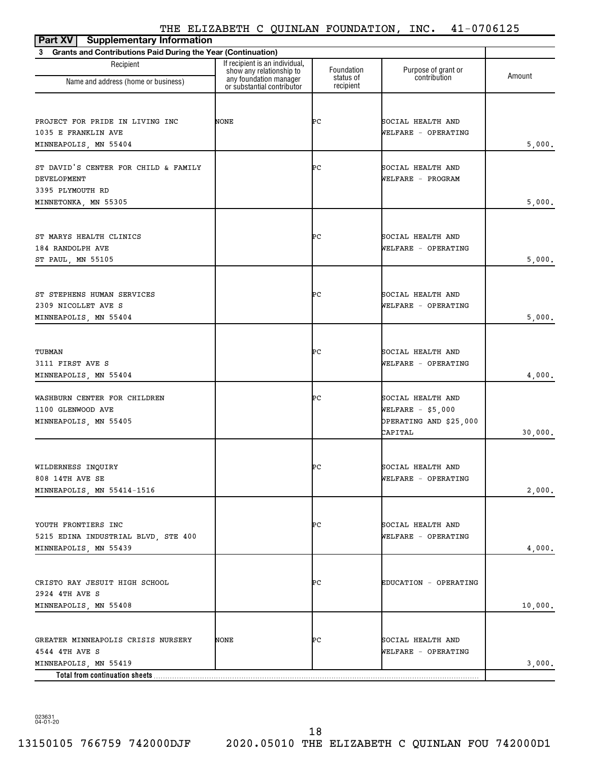| <b>Supplementary Information</b><br>Part XV                                                                      |                                                                                      |                         |                                                                               |         |
|------------------------------------------------------------------------------------------------------------------|--------------------------------------------------------------------------------------|-------------------------|-------------------------------------------------------------------------------|---------|
| 3 Grants and Contributions Paid During the Year (Continuation)                                                   |                                                                                      |                         |                                                                               |         |
| Recipient                                                                                                        | If recipient is an individual,<br>show any relationship to<br>any foundation manager | Foundation<br>status of | Purpose of grant or<br>contribution                                           | Amount  |
| Name and address (home or business)                                                                              | or substantial contributor                                                           | recipient               |                                                                               |         |
| PROJECT FOR PRIDE IN LIVING INC<br>1035 E FRANKLIN AVE<br>MINNEAPOLIS, MN 55404                                  | NONE                                                                                 | ÞС                      | SOCIAL HEALTH AND<br>WELFARE - OPERATING                                      | 5,000.  |
| ST DAVID'S CENTER FOR CHILD & FAMILY<br><b>DEVELOPMENT</b><br>3395 PLYMOUTH RD<br>MINNETONKA, MN 55305           |                                                                                      | ÞС                      | SOCIAL HEALTH AND<br>WELFARE - PROGRAM                                        | 5,000.  |
| ST MARYS HEALTH CLINICS<br>184 RANDOLPH AVE<br>ST PAUL, MN 55105                                                 |                                                                                      | ÞС                      | SOCIAL HEALTH AND<br>WELFARE - OPERATING                                      | 5,000.  |
| ST STEPHENS HUMAN SERVICES<br>2309 NICOLLET AVE S<br>MINNEAPOLIS, MN 55404                                       |                                                                                      | ÞС                      | SOCIAL HEALTH AND<br>WELFARE - OPERATING                                      | 5,000.  |
| TUBMAN<br>3111 FIRST AVE S<br>MINNEAPOLIS, MN 55404                                                              |                                                                                      | ÞС                      | SOCIAL HEALTH AND<br>WELFARE - OPERATING                                      | 4,000.  |
| WASHBURN CENTER FOR CHILDREN<br>1100 GLENWOOD AVE<br>MINNEAPOLIS, MN 55405                                       |                                                                                      | ÞС                      | SOCIAL HEALTH AND<br>WELFARE $-$ \$5,000<br>OPERATING AND \$25,000<br>CAPITAL | 30,000. |
| WILDERNESS INQUIRY<br>808 14TH AVE SE<br>MINNEAPOLIS, MN 55414-1516                                              |                                                                                      | ÞС                      | SOCIAL HEALTH AND<br>WELFARE - OPERATING                                      | 2,000.  |
| YOUTH FRONTIERS INC<br>5215 EDINA INDUSTRIAL BLVD, STE 400<br>MINNEAPOLIS, MN 55439                              |                                                                                      | ÞС                      | SOCIAL HEALTH AND<br>WELFARE - OPERATING                                      | 4,000.  |
| CRISTO RAY JESUIT HIGH SCHOOL<br>2924 4TH AVE S<br>MINNEAPOLIS, MN 55408                                         |                                                                                      | ÞС                      | EDUCATION - OPERATING                                                         | 10,000. |
| GREATER MINNEAPOLIS CRISIS NURSERY<br>4544 4TH AVE S<br>MINNEAPOLIS, MN 55419<br>Total from continuation sheets. | NONE                                                                                 | ÞС                      | SOCIAL HEALTH AND<br>WELFARE - OPERATING                                      | 3,000.  |

023631 04-01-20

18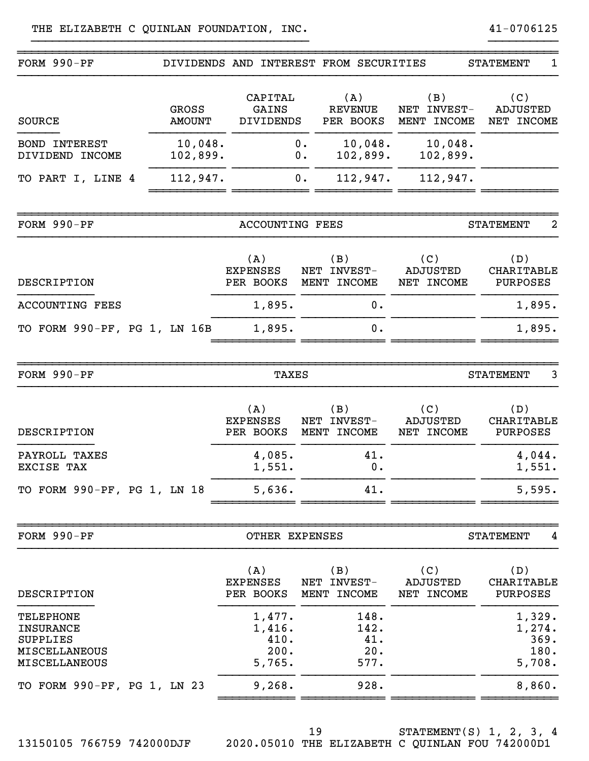| DIVIDENDS AND INTEREST FROM SECURITIES<br>(A)<br>(B)<br><b>REVENUE</b><br>NET INVEST-<br>PER BOOKS<br>MENT INCOME<br>$0$ .<br>10,048.<br>10,048.<br>102,899.<br>102,899.<br>О.<br>112,947.<br>112,947.<br>0.<br><b>ACCOUNTING FEES</b><br>(B)<br>(C)<br><b>NET</b><br>INVEST-<br><b>ADJUSTED</b><br>MENT INCOME<br>NET INCOME<br>0.<br>0.<br>TAXES | <b>STATEMENT</b><br>1<br>(C)<br><b>ADJUSTED</b><br>NET INCOME<br><b>STATEMENT</b><br>2<br>(D)<br><b>CHARITABLE</b><br>PURPOSES<br>1,895.<br>1,895.<br><b>STATEMENT</b><br>3 |
|----------------------------------------------------------------------------------------------------------------------------------------------------------------------------------------------------------------------------------------------------------------------------------------------------------------------------------------------------|-----------------------------------------------------------------------------------------------------------------------------------------------------------------------------|
|                                                                                                                                                                                                                                                                                                                                                    |                                                                                                                                                                             |
|                                                                                                                                                                                                                                                                                                                                                    |                                                                                                                                                                             |
|                                                                                                                                                                                                                                                                                                                                                    |                                                                                                                                                                             |
|                                                                                                                                                                                                                                                                                                                                                    |                                                                                                                                                                             |
|                                                                                                                                                                                                                                                                                                                                                    |                                                                                                                                                                             |
|                                                                                                                                                                                                                                                                                                                                                    |                                                                                                                                                                             |
|                                                                                                                                                                                                                                                                                                                                                    |                                                                                                                                                                             |
|                                                                                                                                                                                                                                                                                                                                                    |                                                                                                                                                                             |
|                                                                                                                                                                                                                                                                                                                                                    |                                                                                                                                                                             |
| (B)<br>(C)<br><b>INVEST-</b><br><b>ADJUSTED</b><br>NET<br>MENT INCOME<br>NET INCOME                                                                                                                                                                                                                                                                | (D)<br>CHARITABLE<br><b>PURPOSES</b>                                                                                                                                        |
| 41.<br>0.                                                                                                                                                                                                                                                                                                                                          | 4,044.<br>1,551.                                                                                                                                                            |
| 41.                                                                                                                                                                                                                                                                                                                                                | 5,595.                                                                                                                                                                      |
|                                                                                                                                                                                                                                                                                                                                                    | <b>STATEMENT</b><br>4                                                                                                                                                       |
| (C)<br>(B)<br><b>ADJUSTED</b><br>NET INCOME                                                                                                                                                                                                                                                                                                        | (D)<br>CHARITABLE<br><b>PURPOSES</b>                                                                                                                                        |
| 148.<br>142.<br>41.<br>20.<br>577.                                                                                                                                                                                                                                                                                                                 | 1,329.<br>1,274.<br>369.<br>180.<br>5,708.                                                                                                                                  |
|                                                                                                                                                                                                                                                                                                                                                    | 8,860.                                                                                                                                                                      |
| PER BOOKS<br>1,477.<br>1,416.<br>410.<br>200.<br>5,765.                                                                                                                                                                                                                                                                                            | OTHER EXPENSES<br>NET INVEST-<br>MENT INCOME<br>9, 268.<br>928.                                                                                                             |

}}}}}}}}}}}}}}}}}}}}}}}}}}}}}}}}}}}}}}}} }}}}}}}}}}

13150105 766759 742000DJF 2020.05010 THE ELIZABETH C QUINLAN FOU 742000D1

19

STATEMENT(S) 1, 2, 3, 4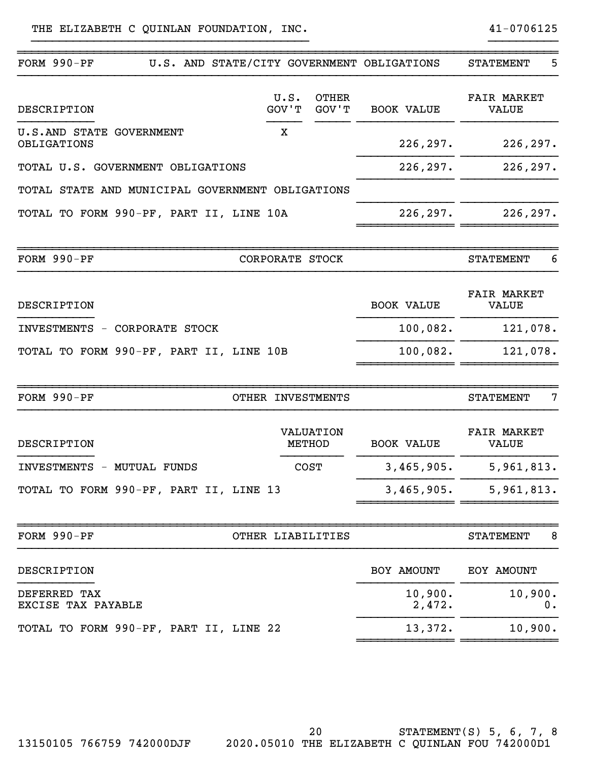| FORM 990-PF                                      |                            | U.S. AND STATE/CITY GOVERNMENT OBLIGATIONS | 5<br><b>STATEMENT</b>              |
|--------------------------------------------------|----------------------------|--------------------------------------------|------------------------------------|
| DESCRIPTION                                      | U.S.<br>GOV'T              | <b>OTHER</b><br>GOV'T<br><b>BOOK VALUE</b> | <b>FAIR MARKET</b><br><b>VALUE</b> |
| U.S.AND STATE GOVERNMENT<br>OBLIGATIONS          | X                          | 226,297.                                   | 226, 297.                          |
| TOTAL U.S. GOVERNMENT OBLIGATIONS                |                            | 226, 297.                                  | 226, 297.                          |
| TOTAL STATE AND MUNICIPAL GOVERNMENT OBLIGATIONS |                            |                                            |                                    |
| TOTAL TO FORM 990-PF, PART II, LINE 10A          |                            | 226, 297.                                  | 226, 297.                          |
| FORM $990-PF$                                    | CORPORATE STOCK            |                                            | 6<br><b>STATEMENT</b>              |
| DESCRIPTION                                      |                            | <b>BOOK VALUE</b>                          | <b>FAIR MARKET</b><br><b>VALUE</b> |
| INVESTMENTS - CORPORATE STOCK                    |                            | 100,082.                                   | 121,078.                           |
| TOTAL TO FORM 990-PF, PART II, LINE 10B          |                            | 100,082.                                   | 121,078.                           |
| FORM $990-PF$                                    | OTHER INVESTMENTS          |                                            | 7<br><b>STATEMENT</b>              |
| DESCRIPTION                                      | <b>VALUATION</b><br>METHOD | <b>BOOK VALUE</b>                          | <b>FAIR MARKET</b><br><b>VALUE</b> |
| INVESTMENTS - MUTUAL FUNDS                       | <b>COST</b>                | 3,465,905.                                 | 5,961,813.                         |
| TOTAL TO FORM 990-PF, PART II, LINE 13           |                            | 3,465,905.                                 | 5,961,813.                         |
| FORM 990-PF                                      | OTHER LIABILITIES          |                                            | 8<br><b>STATEMENT</b>              |
| DESCRIPTION                                      |                            | BOY AMOUNT                                 | EOY AMOUNT                         |
| DEFERRED TAX<br>EXCISE TAX PAYABLE               |                            | 10,900.<br>2,472.                          | 10,900.<br>0.                      |
| TOTAL TO FORM 990-PF, PART II, LINE 22           |                            | 13,372.                                    | 10,900.                            |
|                                                  |                            |                                            |                                    |

}}}}}}}}}}}}}}}}}}}}}}}}}}}}}}}}}}}}}}}} }}}}}}}}}}

20

STATEMENT(S) 5, 6, 7, 8 13150105 766759 742000DJF 2020.05010 THE ELIZABETH C QUINLAN FOU 742000D1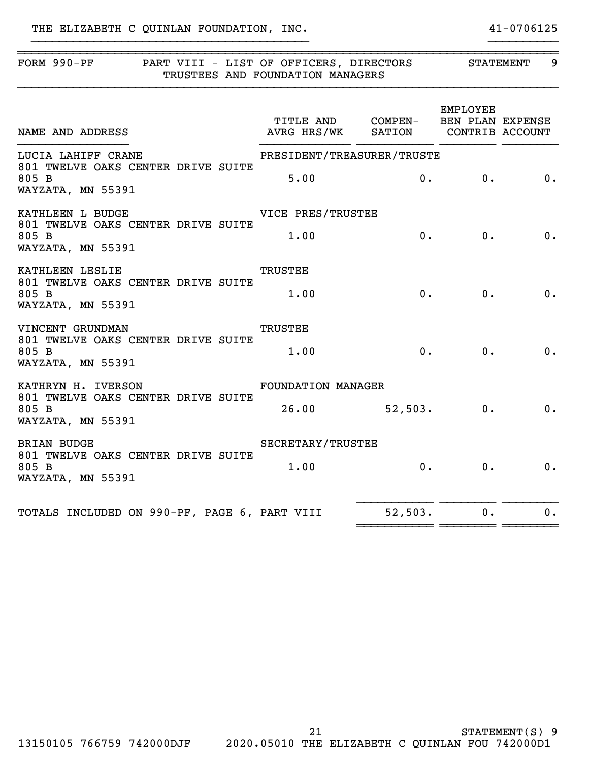| FORM 990-PF PART VIII - LIST OF OFFICERS, DIRECTORS STATEMENT<br>TRUSTEES AND FOUNDATION MANAGERS             |                                                 |                |          | 9     |  |
|---------------------------------------------------------------------------------------------------------------|-------------------------------------------------|----------------|----------|-------|--|
| TITLE AND      COMPEN-    BEN PLAN EXPENSE<br>AVRG HRS/WK     SATION      CONTRIB ACCOUNT<br>NAME AND ADDRESS | TITLE AND COMPEN- BEN PLAN EXPENSE              |                | EMPLOYEE |       |  |
| LUCIA LAHIFF CRANE<br>801 TWELVE OAKS CENTER DRIVE SUITE<br>805 B<br>WAYZATA, MN 55391                        | PRESIDENT/TREASURER/TRUSTE<br>5.00              |                | 0. 0. 0. |       |  |
| KATHLEEN L BUDGE<br>801 TWELVE OAKS CENTER DRIVE SUITE<br>805 B<br>WAYZATA, MN 55391                          | VICE PRES/TRUSTEE<br>1.00                       |                | 0.       | 0. 0. |  |
| KATHLEEN LESLIE<br>801 TWELVE OAKS CENTER DRIVE SUITE<br>805 B<br>WAYZATA, MN 55391                           | <b>TRUSTEE</b><br>1.00                          | 0.             | 0.       | 0.    |  |
| VINCENT GRUNDMAN<br>801 TWELVE OAKS CENTER DRIVE SUITE<br>805 B<br>WAYZATA, MN 55391                          | <b>TRUSTEE</b><br>1.00                          | $\mathbf{0}$ . |          | 0. 0. |  |
| KATHRYN H. IVERSON<br>801 TWELVE OAKS CENTER DRIVE SUITE<br>805 B<br>WAYZATA, MN 55391                        | <b>FOUNDATION MANAGER</b><br>$26.00$ 52,503. 0. |                |          | 0.    |  |
| <b>BRIAN BUDGE</b><br>801 TWELVE OAKS CENTER DRIVE SUITE<br>805 B<br>WAYZATA, MN 55391                        | SECRETARY/TRUSTEE<br>1.00                       |                | 0.<br>0. | 0.    |  |
| TOTALS INCLUDED ON 990-PF, PAGE 6, PART VIII                                                                  |                                                 | 52,503.        | 0.       | 0.    |  |

}}}}}}}}}}}}}}}}}}}}}}}}}}}}}}}}}}}}}}}} }}}}}}}}}}

STATEMENT(S) 9 13150105 766759 742000DJF 2020.05010 THE ELIZABETH C QUINLAN FOU 742000D1 21